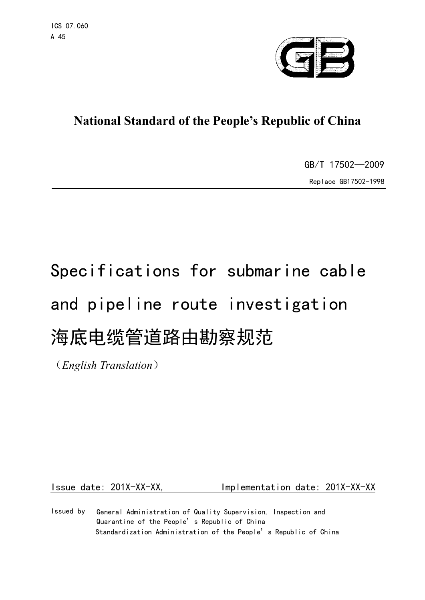

# **National Standard of the People's Republic of China**

GB/T 17502—2009 Replace GB17502-1998

# Specifications for submarine cable and pipeline route investigation 海底电缆管道路由勘察规范

(*English Translation*)

Issue date: 201X-XX-XX, Implementation date: 201X-XX-XX

General Administration of Quality Supervision, Inspection and Quarantine of the People's Republic of China Standardization Administration of the People's Republic of China Issued by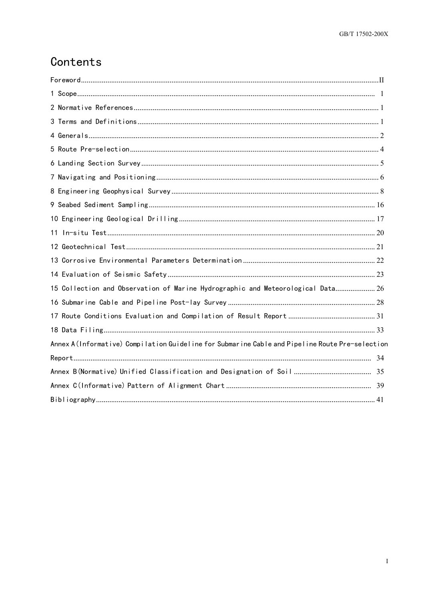# Contents

| 15 Collection and Observation of Marine Hydrographic and Meteorological Data 26                  |  |
|--------------------------------------------------------------------------------------------------|--|
|                                                                                                  |  |
|                                                                                                  |  |
|                                                                                                  |  |
| Annex A (Informative) Compilation Guideline for Submarine Cable and Pipeline Route Pre-selection |  |
|                                                                                                  |  |
|                                                                                                  |  |
|                                                                                                  |  |
|                                                                                                  |  |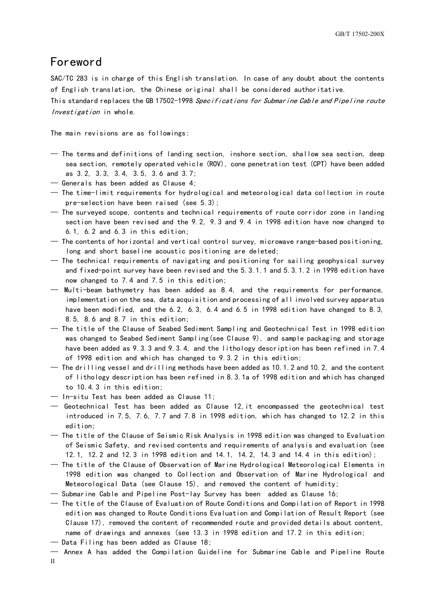## <span id="page-2-0"></span>Foreword

SAC/TC 283 is in charge of this English translation. In case of any doubt about the contents of English translation, the Chinese original shall be considered authoritative. This standard replaces the GB 17502-1998 Specifications for Submarine Cable and Pipeline route

Investigation in whole.

The main revisions are as followings:

- The terms and definitions of landing section, inshore section, shallow sea section, deep sea section, remotely operated vehicle (ROV), cone penetration test (CPT) have been added as 3.2, 3.3, 3.4, 3.5, 3.6 and 3.7;
- Generals has been added as Clause 4;
- The time-limit requirements for hydrological and meteorological data collection in route pre-selection have been raised (see 5.3);
- The surveyed scope, contents and technical requirements of route corridor zone in landing section have been revised and the 9.2, 9.3 and 9.4 in 1998 edition have now changed to 6.1, 6.2 and 6.3 in this edition;
- The contents of horizontal and vertical control survey, microwave range-based positioning, long and short baseline acoustic positioning are deleted;
- The technical requirements of navigating and positioning for sailing geophysical survey and fixed-point survey have been revised and the 5.3.1.1 and 5.3.1.2 in 1998 edition have now changed to 7.4 and 7.5 in this edition;
- Multi-beam bathymetry has been added as 8.4, and the requirements for performance, implementation on the sea, data acquisition and processing of all involved survey apparatus have been modified, and the 6.2, 6.3, 6.4 and 6.5 in 1998 edition have changed to 8.3, 8.5, 8.6 and 8.7 in this edition;
- The title of the Clause of Seabed Sediment Sampling and Geotechnical Test in 1998 edition was changed to Seabed Sediment Sampling(see Clause 9), and sample packaging and storage have been added as 9.3.3 and 9.3.4, and the lithology description has been refined in 7.4 of 1998 edition and which has changed to 9.3.2 in this edition;
- The drilling vessel and drilling methods have been added as 10.1.2 and 10.2, and the content of lithology description has been refined in 8.3.1a of 1998 edition and which has changed to 10.4.3 in this edition;
- In-situ Test has been added as Clause 11;
- Geotechnical Test has been added as Clause 12,it encompassed the geotechnical test introduced in 7.5, 7.6, 7.7 and 7.8 in 1998 edition, which has changed to 12.2 in this edition;
- The title of the Clause of Seismic Risk Analysis in 1998 edition was changed to Evaluation of Seismic Safety, and revised contents and requirements of analysis and evaluation (see 12.1, 12.2 and 12.3 in 1998 edition and 14.1, 14.2, 14.3 and 14.4 in this edition);
- The title of the Clause of Observation of Marine Hydrological Meteorological Elements in 1998 edition was changed to Collection and Observation of Marine Hydrological and Meteorological Data (see Clause 15), and removed the content of humidity;
- Submarine Cable and Pipeline Post-lay Survey has been added as Clause 16;
- The title of the Clause of Evaluation of Route Conditions and Compilation of Report in 1998 edition was changed to Route Conditions Evaluation and Compilation of Result Report (see Clause 17), removed the content of recommended route and provided details about content, name of drawings and annexes (see 13.3 in 1998 edition and 17.2 in this edition;
- Data Filing has been added as Clause 18;
- II — Annex A has added the Compilation Guideline for Submarine Cable and Pipeline Route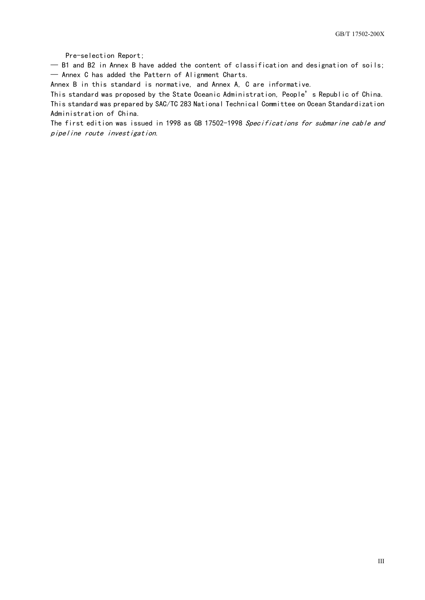Pre-selection Report;

— B1 and B2 in Annex B have added the content of classification and designation of soils; — Annex C has added the Pattern of Alignment Charts.

Annex B in this standard is normative, and Annex A, C are informative.

This standard was proposed by the State Oceanic Administration, People's Republic of China. This standard was prepared by SAC/TC 283 National Technical Committee on Ocean Standardization Administration of China.

The first edition was issued in 1998 as GB 17502-1998 Specifications for submarine cable and pipeline route investigation.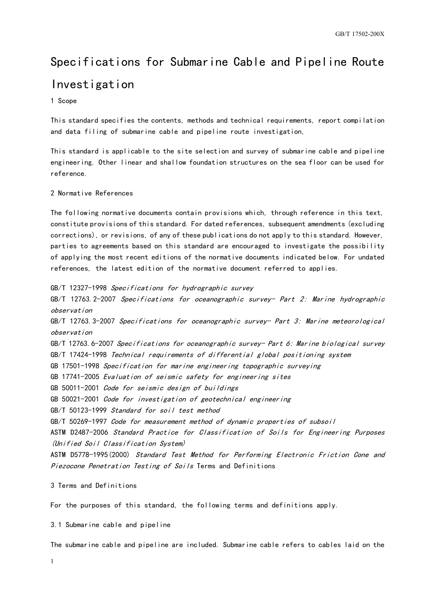# Specifications for Submarine Cable and Pipeline Route Investigation

#### <span id="page-4-0"></span>1 Scope

This standard specifies the contents, methods and technical requirements, report compilation and data filing of submarine cable and pipeline route investigation,

This standard is applicable to the site selection and survey of submarine cable and pipeline engineering. Other linear and shallow foundation structures on the sea floor can be used for reference.

#### <span id="page-4-1"></span>2 Normative References

The following normative documents contain provisions which, through reference in this text, constitute provisions of this standard. For dated references, subsequent amendments (excluding corrections), or revisions, of any of these publications do not apply to this standard. However, parties to agreements based on this standard are encouraged to investigate the possibility of applying the most recent editions of the normative documents indicated below. For undated references, the latest edition of the normative document referred to applies.

GB/T 12327-1998 Specifications for hydrographic survey GB/T 12763. 2-2007 Specifications for oceanographic survey- Part 2: Marine hydrographic observationGB/T 12763.3-2007 Specifications for oceanographic survey- Part 3: Marine meteorological observationGB/T 12763.6-2007 Specifications for oceanographic survey- Part 6: Marine biological survey GB/T 17424-1998 Technical requirements of differential global positioning system GB 17501-1998 Specification for marine engineering topographic surveying GB 17741-2005 Evaluation of seismic safety for engineering sites GB 50011-2001 Code for seismic design of buildings GB 50021-2001 Code for investigation of geotechnical engineering GB/T 50123-1999 Standard for soil test method GB/T 50269-1997 Code for measurement method of dynamic properties of subsoil ASTM D2487-2006 Standard Practice for Classification of Soils for Engineering Purposes (Unified Soil Classification System) ASTM D5778-1995(2000) Standard Test Method for Performing Electronic Friction Cone and Piezocone Penetration Testing of Soils Terms and Definitions

<span id="page-4-2"></span>3 Terms and Definitions

For the purposes of this standard, the following terms and definitions apply.

3.1 Submarine cable and pipeline

The submarine cable and pipeline are included. Submarine cable refers to cables laid on the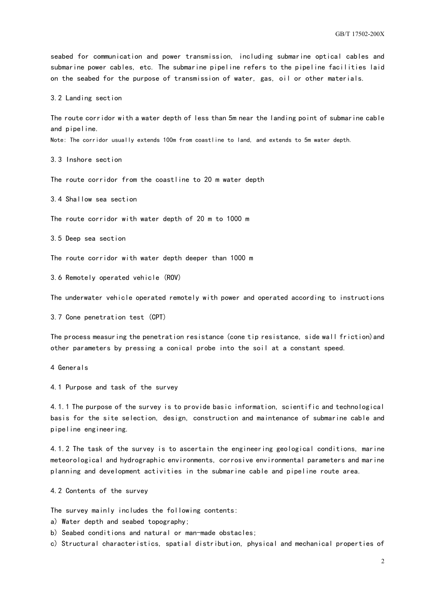seabed for communication and power transmission, including submarine optical cables and submarine power cables, etc. The submarine pipeline refers to the pipeline facilities laid on the seabed for the purpose of transmission of water, gas, oil or other materials.

3.2 Landing section

The route corridor with a water depth of less than 5m near the landing point of submarine cable and pipeline.

Note: The corridor usually extends 100m from coastline to land, and extends to 5m water depth.

3.3 Inshore section

The route corridor from the coastline to 20 m water depth

3.4 Shallow sea section

The route corridor with water depth of 20 m to 1000 m

3.5 Deep sea section

The route corridor with water depth deeper than 1000 m

3.6 Remotely operated vehicle (ROV)

The underwater vehicle operated remotely with power and operated according to instructions

3.7 Cone penetration test (CPT)

The process measuring the penetration resistance (cone tip resistance, side wall friction)and other parameters by pressing a conical probe into the soil at a constant speed.

<span id="page-5-0"></span>4 Generals

4.1 Purpose and task of the survey

4.1.1 The purpose of the survey is to provide basic information, scientific and technological basis for the site selection, design, construction and maintenance of submarine cable and pipeline engineering.

4.1.2 The task of the survey is to ascertain the engineering geological conditions, marine meteorological and hydrographic environments, corrosive environmental parameters and marine planning and development activities in the submarine cable and pipeline route area.

4.2 Contents of the survey

The survey mainly includes the following contents:

a) Water depth and seabed topography;

b) Seabed conditions and natural or man-made obstacles;

c) Structural characteristics, spatial distribution, physical and mechanical properties of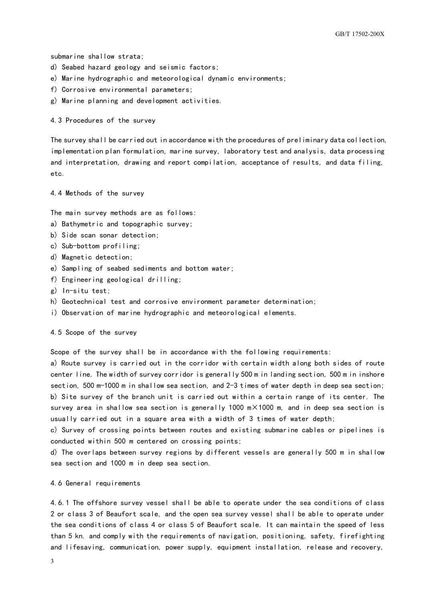submarine shallow strata;

- d) Seabed hazard geology and seismic factors;
- e) Marine hydrographic and meteorological dynamic environments;
- f) Corrosive environmental parameters;
- g) Marine planning and development activities.

4.3 Procedures of the survey

The survey shall be carried out in accordance with the procedures of preliminary data collection, implementation plan formulation, marine survey, laboratory test and analysis, data processing and interpretation, drawing and report compilation, acceptance of results, and data filing, etc.

4.4 Methods of the survey

The main survey methods are as follows:

- a) Bathymetric and topographic survey;
- b) Side scan sonar detection;
- c) Sub-bottom profiling;
- d) Magnetic detection;
- e) Sampling of seabed sediments and bottom water;
- f) Engineering geological drilling;
- g) In-situ test;
- h) Geotechnical test and corrosive environment parameter determination;
- i) Observation of marine hydrographic and meteorological elements.

4.5 Scope of the survey

Scope of the survey shall be in accordance with the following requirements:

a) Route survey is carried out in the corridor with certain width along both sides of route center line. The width of survey corridor is generally 500 m in landing section, 500 m in inshore section, 500 m-1000 m in shallow sea section, and 2-3 times of water depth in deep sea section; b) Site survey of the branch unit is carried out within a certain range of its center. The survey area in shallow sea section is generally 1000  $m \times 1000$  m, and in deep sea section is usually carried out in a square area with a width of 3 times of water depth;

c) Survey of crossing points between routes and existing submarine cables or pipelines is conducted within 500 m centered on crossing points;

d) The overlaps between survey regions by different vessels are generally 500 m in shallow sea section and 1000 m in deep sea section.

#### 4.6 General requirements

4.6.1 The offshore survey vessel shall be able to operate under the sea conditions of class 2 or class 3 of Beaufort scale, and the open sea survey vessel shall be able to operate under the sea conditions of class 4 or class 5 of Beaufort scale. It can maintain the speed of less than 5 kn. and comply with the requirements of navigation, positioning, safety, firefighting and lifesaving, communication, power supply, equipment installation, release and recovery,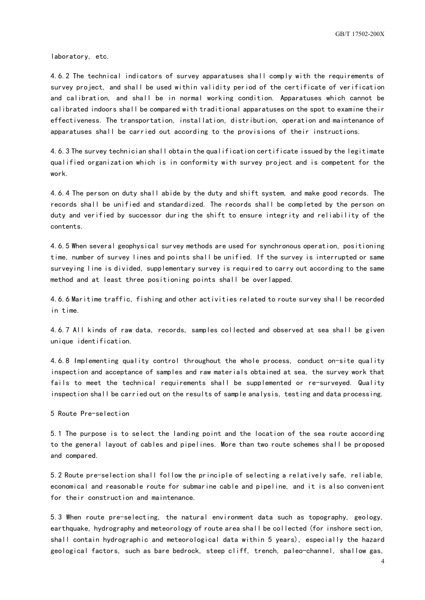laboratory, etc.

4.6.2 The technical indicators of survey apparatuses shall comply with the requirements of survey project, and shall be used within validity period of the certificate of verification and calibration, and shall be in normal working condition. Apparatuses which cannot be calibrated indoors shall be compared with traditional apparatuses on the spot to examine their effectiveness. The transportation, installation, distribution, operation and maintenance of apparatuses shall be carried out according to the provisions of their instructions.

4.6.3 The survey technician shall obtain the qualification certificate issued by the legitimate qualified organization which is in conformity with survey project and is competent for the work.

4.6.4 The person on duty shall abide by the duty and shift system, and make good records. The records shall be unified and standardized. The records shall be completed by the person on duty and verified by successor during the shift to ensure integrity and reliability of the contents.

4.6.5 When several geophysical survey methods are used for synchronous operation, positioning time, number of survey lines and points shall be unified. If the survey is interrupted or same surveying line is divided, supplementary survey is required to carry out according to the same method and at least three positioning points shall be overlapped.

4.6.6 Maritime traffic, fishing and other activities related to route survey shall be recorded in time.

4.6.7 All kinds of raw data, records, samples collected and observed at sea shall be given unique identification.

4.6.8 Implementing quality control throughout the whole process, conduct on-site quality inspection and acceptance of samples and raw materials obtained at sea, the survey work that fails to meet the technical requirements shall be supplemented or re-surveyed. Quality inspection shall be carried out on the results of sample analysis, testing and data processing.

<span id="page-7-0"></span>5 Route Pre-selection

5.1 The purpose is to select the landing point and the location of the sea route according to the general layout of cables and pipelines. More than two route schemes shall be proposed and compared.

5.2 Route pre-selection shall follow the principle of selecting a relatively safe, reliable, economical and reasonable route for submarine cable and pipeline, and it is also convenient for their construction and maintenance.

5.3 When route pre-selecting, the natural environment data such as topography, geology, earthquake, hydrography and meteorology of route area shall be collected (for inshore section, shall contain hydrographic and meteorological data within 5 years), especially the hazard geological factors, such as bare bedrock, steep cliff, trench, paleo-channel, shallow gas,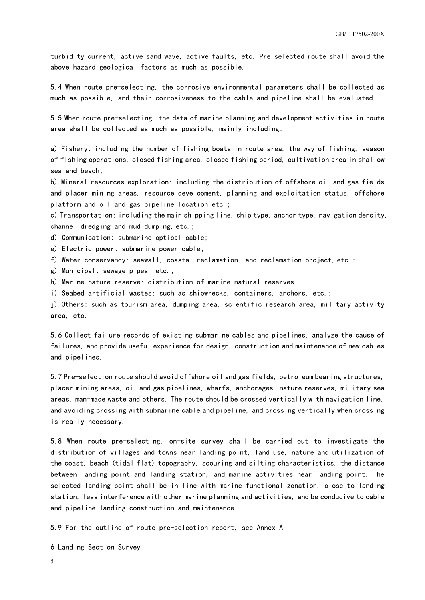turbidity current, active sand wave, active faults, etc. Pre-selected route shall avoid the above hazard geological factors as much as possible.

5.4 When route pre-selecting, the corrosive environmental parameters shall be collected as much as possible, and their corrosiveness to the cable and pipeline shall be evaluated.

5.5 When route pre-selecting, the data of marine planning and development activities in route area shall be collected as much as possible, mainly including:

a) Fishery: including the number of fishing boats in route area, the way of fishing, season of fishing operations, closed fishing area, closed fishing period, cultivation area in shallow sea and beach;

b) Mineral resources exploration: including the distribution of offshore oil and gas fields and placer mining areas, resource development, planning and exploitation status, offshore platform and oil and gas pipeline location etc.;

c) Transportation: including the main shipping line, ship type, anchor type, navigation density, channel dredging and mud dumping, etc.;

d) Communication: submarine optical cable;

- e) Electric power: submarine power cable;
- f) Water conservancy: seawall, coastal reclamation, and reclamation project, etc.;
- g) Municipal: sewage pipes, etc.;
- h) Marine nature reserve: distribution of marine natural reserves;
- i) Seabed artificial wastes: such as shipwrecks, containers, anchors, etc.;

j) Others: such as tourism area, dumping area, scientific research area, military activity area, etc.

5.6 Collect failure records of existing submarine cables and pipelines, analyze the cause of failures, and provide useful experience for design, construction and maintenance of new cables and pipelines.

5.7 Pre-selection route should avoid offshore oil and gas fields, petroleum bearing structures, placer mining areas, oil and gas pipelines, wharfs, anchorages, nature reserves, military sea areas, man-made waste and others. The route should be crossed vertically with navigation line, and avoiding crossing with submarine cable and pipeline, and crossing vertically when crossing is really necessary.

5.8 When route pre-selecting, on-site survey shall be carried out to investigate the distribution of villages and towns near landing point, land use, nature and utilization of the coast, beach (tidal flat) topography, scouring and silting characteristics, the distance between landing point and landing station, and marine activities near landing point. The selected landing point shall be in line with marine functional zonation, close to landing station, less interference with other marine planning and activities, and be conducive to cable and pipeline landing construction and maintenance.

<span id="page-8-0"></span>5.9 For the outline of route pre-selection report, see Annex A.

6 Landing Section Survey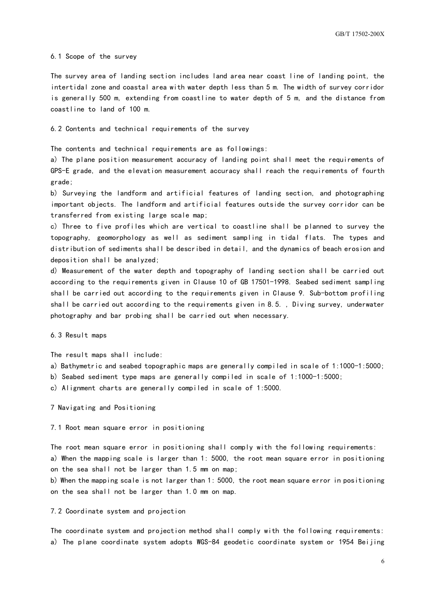#### 6.1 Scope of the survey

The survey area of landing section includes land area near coast line of landing point, the intertidal zone and coastal area with water depth less than 5 m. The width of survey corridor is generally 500 m, extending from coastline to water depth of 5 m, and the distance from coastline to land of 100 m.

#### 6.2 Contents and technical requirements of the survey

The contents and technical requirements are as followings:

a) The plane position measurement accuracy of landing point shall meet the requirements of GPS-E grade, and the elevation measurement accuracy shall reach the requirements of fourth grade;

b) Surveying the landform and artificial features of landing section, and photographing important objects. The landform and artificial features outside the survey corridor can be transferred from existing large scale map;

c) Three to five profiles which are vertical to coastline shall be planned to survey the topography, geomorphology as well as sediment sampling in tidal flats. The types and distribution of sediments shall be described in detail, and the dynamics of beach erosion and deposition shall be analyzed;

d) Measurement of the water depth and topography of landing section shall be carried out according to the requirements given in Clause 10 of GB 17501-1998. Seabed sediment sampling shall be carried out according to the requirements given in Clause 9. Sub-bottom profiling shall be carried out according to the requirements given in 8.5. , Diving survey, underwater photography and bar probing shall be carried out when necessary.

6.3 Result maps

The result maps shall include:

- a) Bathymetric and seabed topographic maps are generally compiled in scale of 1:1000-1:5000;
- b) Seabed sediment type maps are generally compiled in scale of 1:1000-1:5000;

<span id="page-9-0"></span>c) Alignment charts are generally compiled in scale of 1:5000.

7 Navigating and Positioning

#### 7.1 Root mean square error in positioning

The root mean square error in positioning shall comply with the following requirements: a) When the mapping scale is larger than 1: 5000, the root mean square error in positioning on the sea shall not be larger than 1.5 mm on map;

b) When the mapping scale is not larger than 1: 5000, the root mean square error in positioning on the sea shall not be larger than 1.0 mm on map.

#### 7.2 Coordinate system and projection

The coordinate system and projection method shall comply with the following requirements: a) The plane coordinate system adopts WGS-84 geodetic coordinate system or 1954 Beijing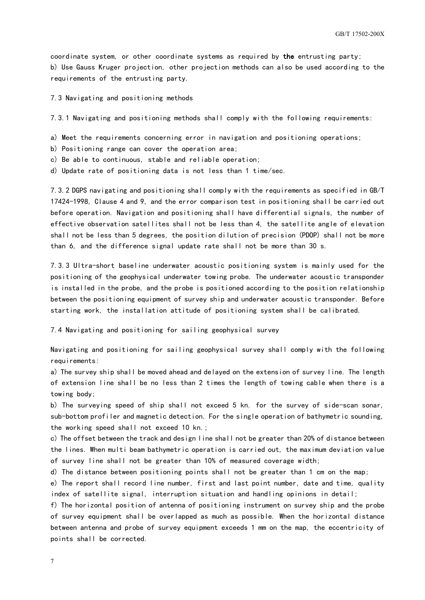coordinate system, or other coordinate systems as required by the entrusting party; b) Use Gauss Kruger projection, other projection methods can also be used according to the requirements of the entrusting party.

7.3 Navigating and positioning methods

7.3.1 Navigating and positioning methods shall comply with the following requirements:

- a) Meet the requirements concerning error in navigation and positioning operations;
- b) Positioning range can cover the operation area;
- c) Be able to continuous, stable and reliable operation;
- d) Update rate of positioning data is not less than 1 time/sec.

7.3.2 DGPS navigating and positioning shall comply with the requirements as specified in GB/T 17424-1998, Clause 4 and 9, and the error comparison test in positioning shall be carried out before operation. Navigation and positioning shall have differential signals, the number of effective observation satellites shall not be less than 4, the satellite angle of elevation shall not be less than 5 degrees, the position dilution of precision (PDOP) shall not be more than 6, and the difference signal update rate shall not be more than 30 s.

7.3.3 Ultra-short baseline underwater acoustic positioning system is mainly used for the positioning of the geophysical underwater towing probe. The underwater acoustic transponder is installed in the probe, and the probe is positioned according to the position relationship between the positioning equipment of survey ship and underwater acoustic transponder. Before starting work, the installation attitude of positioning system shall be calibrated.

7.4 Navigating and positioning for sailing geophysical survey

Navigating and positioning for sailing geophysical survey shall comply with the following requirements:

a) The survey ship shall be moved ahead and delayed on the extension of survey line. The length of extension line shall be no less than 2 times the length of towing cable when there is a towing body;

b) The surveying speed of ship shall not exceed 5 kn. for the survey of side-scan sonar, sub-bottom profiler and magnetic detection. For the single operation of bathymetric sounding, the working speed shall not exceed 10 kn.;

c) The offset between the track and design line shall not be greater than 20% of distance between the lines. When multi beam bathymetric operation is carried out, the maximum deviation value of survey line shall not be greater than 10% of measured coverage width;

d) The distance between positioning points shall not be greater than 1 cm on the map;

e) The report shall record line number, first and last point number, date and time, quality index of satellite signal, interruption situation and handling opinions in detail;

f) The horizontal position of antenna of positioning instrument on survey ship and the probe of survey equipment shall be overlapped as much as possible. When the horizontal distance between antenna and probe of survey equipment exceeds 1 mm on the map, the eccentricity of points shall be corrected.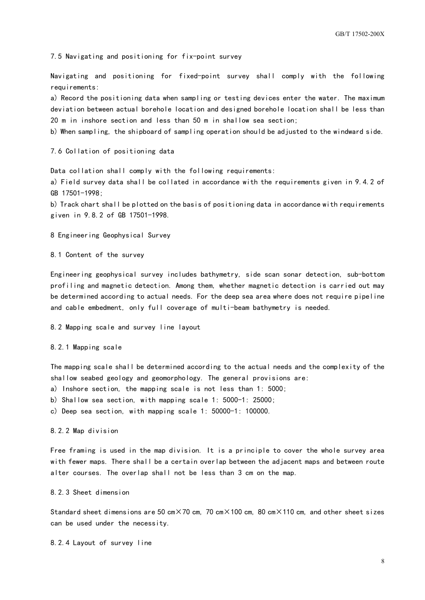7.5 Navigating and positioning for fix-point survey

Navigating and positioning for fixed-point survey shall comply with the following requirements:

a) Record the positioning data when sampling or testing devices enter the water. The maximum deviation between actual borehole location and designed borehole location shall be less than 20 m in inshore section and less than 50 m in shallow sea section;

b) When sampling, the shipboard of sampling operation should be adjusted to the windward side.

7.6 Collation of positioning data

Data collation shall comply with the following requirements:

a) Field survey data shall be collated in accordance with the requirements given in 9.4.2 of GB 17501-1998;

b) Track chart shall be plotted on the basis of positioning data in accordance with requirements given in 9.8.2 of GB 17501-1998.

<span id="page-11-0"></span>8 Engineering Geophysical Survey

8.1 Content of the survey

Engineering geophysical survey includes bathymetry, side scan sonar detection, sub-bottom profiling and magnetic detection. Among them, whether magnetic detection is carried out may be determined according to actual needs. For the deep sea area where does not require pipeline and cable embedment, only full coverage of multi-beam bathymetry is needed.

8.2 Mapping scale and survey line layout

8.2.1 Mapping scale

The mapping scale shall be determined according to the actual needs and the complexity of the shallow seabed geology and geomorphology. The general provisions are:

a) Inshore section, the mapping scale is not less than 1: 5000;

b) Shallow sea section, with mapping scale 1: 5000-1: 25000;

c) Deep sea section, with mapping scale 1: 50000-1: 100000.

8.2.2 Map division

Free framing is used in the map division. It is a principle to cover the whole survey area with fewer maps. There shall be a certain overlap between the adjacent maps and between route alter courses. The overlap shall not be less than 3 cm on the map.

8.2.3 Sheet dimension

Standard sheet dimensions are 50 cm $\times$ 70 cm, 70 cm $\times$ 100 cm, 80 cm $\times$ 110 cm, and other sheet sizes can be used under the necessity.

8.2.4 Layout of survey line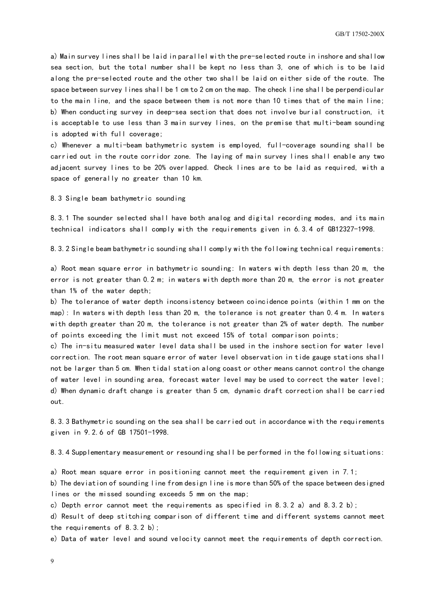a) Main survey lines shall be laid in parallel with the pre-selected route in inshore and shallow sea section, but the total number shall be kept no less than 3, one of which is to be laid along the pre-selected route and the other two shall be laid on either side of the route. The space between survey lines shall be 1 cm to 2 cm on the map. The check line shall be perpendicular to the main line, and the space between them is not more than 10 times that of the main line; b) When conducting survey in deep-sea section that does not involve burial construction, it is acceptable to use less than 3 main survey lines, on the premise that multi-beam sounding is adopted with full coverage;

c) Whenever a multi-beam bathymetric system is employed, full-coverage sounding shall be carried out in the route corridor zone. The laying of main survey lines shall enable any two adjacent survey lines to be 20% overlapped. Check lines are to be laid as required, with a space of generally no greater than 10 km.

8.3 Single beam bathymetric sounding

8.3.1 The sounder selected shall have both analog and digital recording modes, and its main technical indicators shall comply with the requirements given in 6.3.4 of GB12327-1998.

8.3.2 Single beam bathymetric sounding shall comply with the following technical requirements:

a) Root mean square error in bathymetric sounding: In waters with depth less than 20 m, the error is not greater than 0.2 m; in waters with depth more than 20 m, the error is not greater than 1% of the water depth;

b) The tolerance of water depth inconsistency between coincidence points (within 1 mm on the map): In waters with depth less than 20 m, the tolerance is not greater than 0.4 m. In waters with depth greater than 20 m, the tolerance is not greater than 2% of water depth. The number of points exceeding the limit must not exceed 15% of total comparison points;

c) The in-situ measured water level data shall be used in the inshore section for water level correction. The root mean square error of water level observation in tide gauge stations shall not be larger than 5 cm. When tidal station along coast or other means cannot control the change of water level in sounding area, forecast water level may be used to correct the water level; d) When dynamic draft change is greater than 5 cm, dynamic draft correction shall be carried out.

8.3.3 Bathymetric sounding on the sea shall be carried out in accordance with the requirements given in 9.2.6 of GB 17501-1998.

8.3.4 Supplementary measurement or resounding shall be performed in the following situations:

a) Root mean square error in positioning cannot meet the requirement given in 7.1;

b) The deviation of sounding line from design line is more than 50% of the space between designed lines or the missed sounding exceeds 5 mm on the map;

c) Depth error cannot meet the requirements as specified in 8.3.2 a) and 8.3.2 b);

d) Result of deep stitching comparison of different time and different systems cannot meet the requirements of 8.3.2 b);

e) Data of water level and sound velocity cannot meet the requirements of depth correction.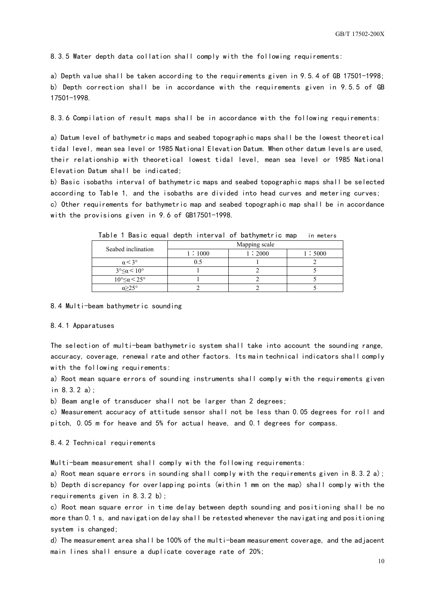8.3.5 Water depth data collation shall comply with the following requirements:

a) Depth value shall be taken according to the requirements given in 9.5.4 of GB 17501-1998; b) Depth correction shall be in accordance with the requirements given in 9.5.5 of GB 17501-1998.

8.3.6 Compilation of result maps shall be in accordance with the following requirements:

a) Datum level of bathymetric maps and seabed topographic maps shall be the lowest theoretical tidal level, mean sea level or 1985 National Elevation Datum. When other datum levels are used, their relationship with theoretical lowest tidal level, mean sea level or 1985 National Elevation Datum shall be indicated;

b) Basic isobaths interval of bathymetric maps and seabed topographic maps shall be selected according to Table 1, and the isobaths are divided into head curves and metering curves; c) Other requirements for bathymetric map and seabed topographic map shall be in accordance with the provisions given in 9.6 of GB17501-1998.

| Seabed inclination                       | Mapping scale |        |        |  |  |  |
|------------------------------------------|---------------|--------|--------|--|--|--|
|                                          | 1:1000        | 1:2000 | 1:5000 |  |  |  |
| $\alpha$ < 3°                            |               |        |        |  |  |  |
| $3^{\circ} \leq \alpha < 10^{\circ}$     |               |        |        |  |  |  |
| $10^{\circ} \leq \alpha \leq 25^{\circ}$ |               |        |        |  |  |  |
| $\alpha > 2.5^\circ$                     |               |        |        |  |  |  |

Table 1 Basic equal depth interval of bathymetric map in meters

#### 8.4 Multi-beam bathymetric sounding

#### 8.4.1 Apparatuses

The selection of multi-beam bathymetric system shall take into account the sounding range, accuracy, coverage, renewal rate and other factors. Its main technical indicators shall comply with the following requirements:

a) Root mean square errors of sounding instruments shall comply with the requirements given in 8.3.2 a);

b) Beam angle of transducer shall not be larger than 2 degrees;

c) Measurement accuracy of attitude sensor shall not be less than 0.05 degrees for roll and pitch, 0.05 m for heave and 5% for actual heave, and 0.1 degrees for compass.

#### 8.4.2 Technical requirements

Multi-beam measurement shall comply with the following requirements:

a) Root mean square errors in sounding shall comply with the requirements given in 8.3.2 a); b) Depth discrepancy for overlapping points (within 1 mm on the map) shall comply with the requirements given in 8.3.2 b);

c) Root mean square error in time delay between depth sounding and positioning shall be no more than 0.1 s, and navigation delay shall be retested whenever the navigating and positioning system is changed;

d) The measurement area shall be 100% of the multi-beam measurement coverage, and the adjacent main lines shall ensure a duplicate coverage rate of 20%;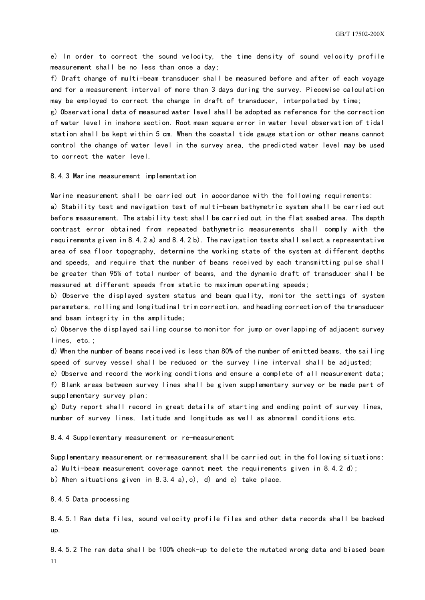e) In order to correct the sound velocity, the time density of sound velocity profile measurement shall be no less than once a day;

f) Draft change of multi-beam transducer shall be measured before and after of each voyage and for a measurement interval of more than 3 days during the survey. Piecewise calculation may be employed to correct the change in draft of transducer, interpolated by time;

g) Observational data of measured water level shall be adopted as reference for the correction of water level in inshore section. Root mean square error in water level observation of tidal station shall be kept within 5 cm. When the coastal tide gauge station or other means cannot control the change of water level in the survey area, the predicted water level may be used to correct the water level.

8.4.3 Marine measurement implementation

Marine measurement shall be carried out in accordance with the following requirements:

a) Stability test and navigation test of multi-beam bathymetric system shall be carried out before measurement. The stability test shall be carried out in the flat seabed area. The depth contrast error obtained from repeated bathymetric measurements shall comply with the requirements given in 8.4.2 a) and 8.4.2 b). The navigation tests shall select a representative area of sea floor topography, determine the working state of the system at different depths and speeds, and require that the number of beams received by each transmitting pulse shall be greater than 95% of total number of beams, and the dynamic draft of transducer shall be measured at different speeds from static to maximum operating speeds;

b) Observe the displayed system status and beam quality, monitor the settings of system parameters, rolling and longitudinal trim correction, and heading correction of the transducer and beam integrity in the amplitude;

c) Observe the displayed sailing course to monitor for jump or overlapping of adjacent survey lines, etc.;

d) When the number of beams received is less than 80% of the number of emitted beams, the sailing speed of survey vessel shall be reduced or the survey line interval shall be adjusted;

e) Observe and record the working conditions and ensure a complete of all measurement data; f) Blank areas between survey lines shall be given supplementary survey or be made part of supplementary survey plan;

g) Duty report shall record in great details of starting and ending point of survey lines, number of survey lines, latitude and longitude as well as abnormal conditions etc.

8.4.4 Supplementary measurement or re-measurement

Supplementary measurement or re-measurement shall be carried out in the following situations: a) Multi-beam measurement coverage cannot meet the requirements given in 8.4.2 d); b)When situations given in 8.3.4 a),c), d) and e) take place.

8.4.5 Data processing

8.4.5.1 Raw data files, sound velocity profile files and other data records shall be backed up.

11 8.4.5.2 The raw data shall be 100% check-up to delete the mutated wrong data and biased beam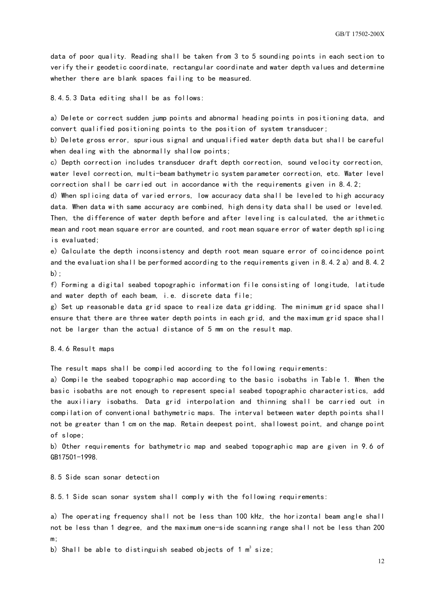data of poor quality. Reading shall be taken from 3 to 5 sounding points in each section to verify their geodetic coordinate, rectangular coordinate and water depth values and determine whether there are blank spaces failing to be measured.

8.4.5.3 Data editing shall be as follows:

a) Delete or correct sudden jump points and abnormal heading points in positioning data, and convert qualified positioning points to the position of system transducer;

b) Delete gross error, spurious signal and unqualified water depth data but shall be careful when dealing with the abnormally shallow points;

c) Depth correction includes transducer draft depth correction, sound velocity correction, water level correction, multi-beam bathymetric system parameter correction, etc. Water level correction shall be carried out in accordance with the requirements given in 8.4.2;

d) When splicing data of varied errors, low accuracy data shall be leveled to high accuracy data. When data with same accuracy are combined, high density data shall be used or leveled.

Then, the difference of water depth before and after leveling is calculated, the arithmetic mean and root mean square error are counted, and root mean square error of water depth splicing is evaluated;

e) Calculate the depth inconsistency and depth root mean square error of coincidence point and the evaluation shall be performed according to the requirements given in 8.4.2 a) and 8.4.2 b);

f) Forming a digital seabed topographic information file consisting of longitude, latitude and water depth of each beam, i.e. discrete data file;

g) Set up reasonable data grid space to realize data gridding. The minimum grid space shall ensure that there are three water depth points in each grid, and the maximum grid space shall not be larger than the actual distance of 5 mm on the result map.

8.4.6 Result maps

The result maps shall be compiled according to the following requirements:

a) Compile the seabed topographic map according to the basic isobaths in Table 1. When the basic isobaths are not enough to represent special seabed topographic characteristics, add the auxiliary isobaths. Data grid interpolation and thinning shall be carried out in compilation of conventional bathymetric maps. The interval between water depth points shall not be greater than 1 cm on the map. Retain deepest point, shallowest point, and change point of slope;

b) Other requirements for bathymetric map and seabed topographic map are given in 9.6 of GB17501-1998.

8.5 Side scan sonar detection

8.5.1 Side scan sonar system shall comply with the following requirements:

a) The operating frequency shall not be less than 100 kHz, the horizontal beam angle shall not be less than 1 degree, and the maximum one-side scanning range shall not be less than 200 m;

b) Shall be able to distinguish seabed objects of 1  $\mathsf{m}^3$  size;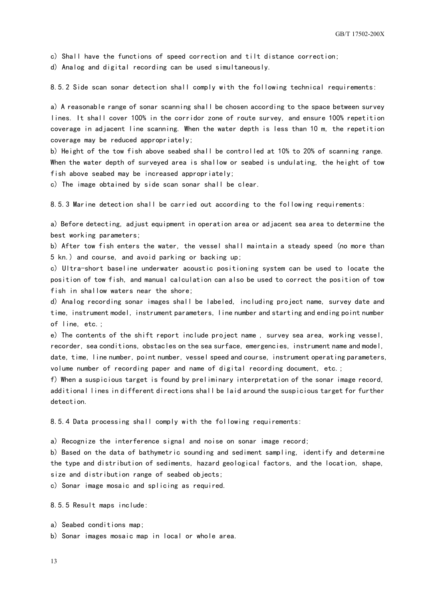c) Shall have the functions of speed correction and tilt distance correction;

d) Analog and digital recording can be used simultaneously.

8.5.2 Side scan sonar detection shall comply with the following technical requirements:

a) A reasonable range of sonar scanning shall be chosen according to the space between survey lines. It shall cover 100% in the corridor zone of route survey, and ensure 100% repetition coverage in adjacent line scanning. When the water depth is less than 10 m, the repetition coverage may be reduced appropriately;

b) Height of the tow fish above seabed shall be controlled at 10% to 20% of scanning range. When the water depth of surveyed area is shallow or seabed is undulating, the height of tow fish above seabed may be increased appropriately;

c) The image obtained by side scan sonar shall be clear.

8.5.3 Marine detection shall be carried out according to the following requirements:

a) Before detecting, adjust equipment in operation area or adjacent sea area to determine the best working parameters;

b) After tow fish enters the water, the vessel shall maintain a steady speed (no more than 5 kn.) and course, and avoid parking or backing up;

c) Ultra-short baseline underwater acoustic positioning system can be used to locate the position of tow fish, and manual calculation can also be used to correct the position of tow fish in shallow waters near the shore;

d) Analog recording sonar images shall be labeled, including project name, survey date and time, instrument model, instrument parameters, line number and starting and ending point number of line, etc.;

e) The contents of the shift report include project name , survey sea area, working vessel, recorder, sea conditions, obstacles on the sea surface, emergencies, instrument name and model, date, time, line number, point number, vessel speed and course, instrument operating parameters, volume number of recording paper and name of digital recording document, etc.;

f) When a suspicious target is found by preliminary interpretation of the sonar image record, additional lines in different directions shall be laid around the suspicious target for further detection.

8.5.4 Data processing shall comply with the following requirements:

a) Recognize the interference signal and noise on sonar image record;

b) Based on the data of bathymetric sounding and sediment sampling, identify and determine the type and distribution of sediments, hazard geological factors, and the location, shape, size and distribution range of seabed objects;

c) Sonar image mosaic and splicing as required.

8.5.5 Result maps include:

a) Seabed conditions map;

b) Sonar images mosaic map in local or whole area.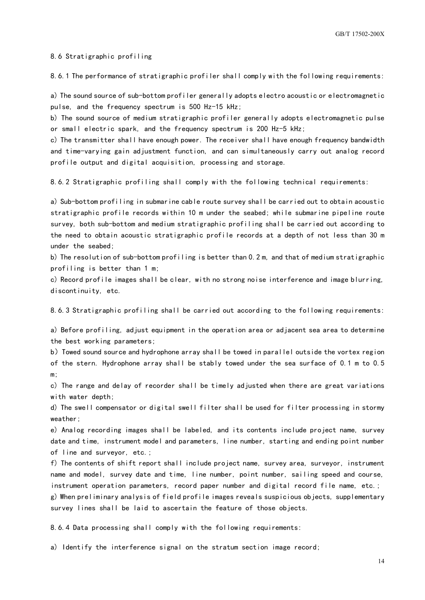8.6 Stratigraphic profiling

8.6.1 The performance of stratigraphic profiler shall comply with the following requirements:

a) The sound source of sub-bottom profiler generally adopts electro acoustic or electromagnetic pulse, and the frequency spectrum is 500 Hz-15 kHz;

b) The sound source of medium stratigraphic profiler generally adopts electromagnetic pulse or small electric spark, and the frequency spectrum is 200 Hz-5 kHz;

c) The transmitter shall have enough power. The receiver shall have enough frequency bandwidth and time-varying gain adjustment function, and can simultaneously carry out analog record profile output and digital acquisition, processing and storage.

8.6.2 Stratigraphic profiling shall comply with the following technical requirements:

a) Sub-bottom profiling in submarine cable route survey shall be carried out to obtain acoustic stratigraphic profile records within 10 m under the seabed; while submarine pipeline route survey, both sub-bottom and medium stratigraphic profiling shall be carried out according to the need to obtain acoustic stratigraphic profile records at a depth of not less than 30 m under the seabed;

b) The resolution of sub-bottom profiling is better than 0.2 m, and that of medium stratigraphic profiling is better than 1 m;

c) Record profile images shall be clear, with no strong noise interference and image blurring, discontinuity, etc.

8.6.3 Stratigraphic profiling shall be carried out according to the following requirements:

a) Before profiling, adjust equipment in the operation area or adjacent sea area to determine the best working parameters;

b) Towed sound source and hydrophone array shall be towed in parallel outside the vortex region of the stern. Hydrophone array shall be stably towed under the sea surface of 0.1 m to 0.5 m;

c) The range and delay of recorder shall be timely adjusted when there are great variations with water depth;

d) The swell compensator or digital swell filter shall be used for filter processing in stormy weather;

e) Analog recording images shall be labeled, and its contents include project name, survey date and time, instrument model and parameters, line number, starting and ending point number of line and surveyor, etc.;

f) The contents of shift report shall include project name, survey area, surveyor, instrument name and model, survey date and time, line number, point number, sailing speed and course, instrument operation parameters, record paper number and digital record file name, etc.;

g) When preliminary analysis of field profile images reveals suspicious objects, supplementary survey lines shall be laid to ascertain the feature of those objects.

8.6.4 Data processing shall comply with the following requirements:

a) Identify the interference signal on the stratum section image record;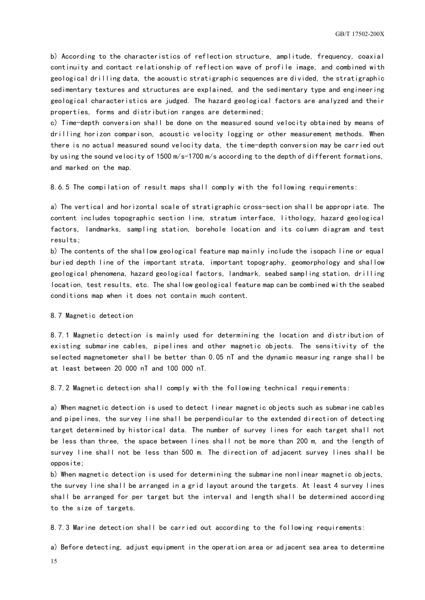b) According to the characteristics of reflection structure, amplitude, frequency, coaxial continuity and contact relationship of reflection wave of profile image, and combined with geological drilling data, the acoustic stratigraphic sequences are divided, the stratigraphic sedimentary textures and structures are explained, and the sedimentary type and engineering geological characteristics are judged. The hazard geological factors are analyzed and their properties, forms and distribution ranges are determined;

c) Time-depth conversion shall be done on the measured sound velocity obtained by means of drilling horizon comparison, acoustic velocity logging or other measurement methods. When there is no actual measured sound velocity data, the time-depth conversion may be carried out by using the sound velocity of 1500 m/s-1700 m/s according to the depth of different formations, and marked on the map.

8.6.5 The compilation of result maps shall comply with the following requirements:

a) The vertical and horizontal scale of stratigraphic cross-section shall be appropriate. The content includes topographic section line, stratum interface, lithology, hazard geological factors, landmarks, sampling station, borehole location and its column diagram and test results;

b) The contents of the shallow geological feature map mainly include the isopach line or equal buried depth line of the important strata, important topography, geomorphology and shallow geological phenomena, hazard geological factors, landmark, seabed sampling station, drilling location, test results, etc. The shallow geological feature map can be combined with the seabed conditions map when it does not contain much content.

8.7 Magnetic detection

8.7.1 Magnetic detection is mainly used for determining the location and distribution of existing submarine cables, pipelines and other magnetic objects. The sensitivity of the selected magnetometer shall be better than 0.05 nT and the dynamic measuring range shall be at least between 20 000 nT and 100 000 nT.

8.7.2 Magnetic detection shall comply with the following technical requirements:

a) When magnetic detection is used to detect linear magnetic objects such as submarine cables and pipelines, the survey line shall be perpendicular to the extended direction of detecting target determined by historical data. The number of survey lines for each target shall not be less than three, the space between lines shall not be more than 200 m, and the length of survey line shall not be less than 500 m. The direction of adjacent survey lines shall be opposite;

b) When magnetic detection is used for determining the submarine nonlinear magnetic objects, the survey line shall be arranged in a grid layout around the targets. At least 4 survey lines shall be arranged for per target but the interval and length shall be determined according to the size of targets.

8.7.3 Marine detection shall be carried out according to the following requirements:

a) Before detecting, adjust equipment in the operation area or adjacent sea area to determine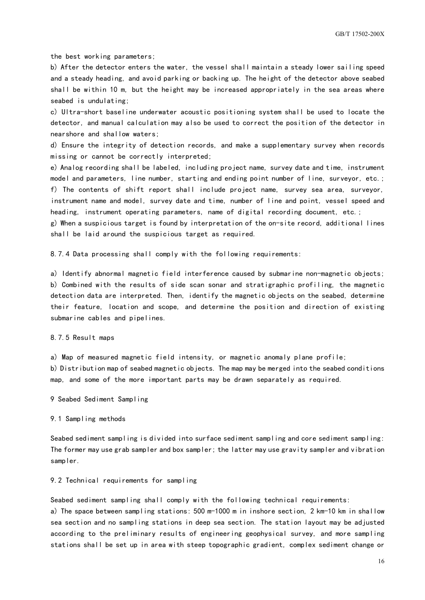the best working parameters;

b) After the detector enters the water, the vessel shall maintain a steady lower sailing speed and a steady heading, and avoid parking or backing up. The height of the detector above seabed shall be within 10 m, but the height may be increased appropriately in the sea areas where seabed is undulating;

c) Ultra-short baseline underwater acoustic positioning system shall be used to locate the detector, and manual calculation may also be used to correct the position of the detector in nearshore and shallow waters;

d) Ensure the integrity of detection records, and make a supplementary survey when records missing or cannot be correctly interpreted;

e) Analog recording shall be labeled, including project name, survey date and time, instrument model and parameters, line number, starting and ending point number of line, surveyor, etc.; f) The contents of shift report shall include project name, survey sea area, surveyor, instrument name and model, survey date and time, number of line and point, vessel speed and heading, instrument operating parameters, name of digital recording document, etc.;

g) When a suspicious target is found by interpretation of the on-site record, additional lines shall be laid around the suspicious target as required.

8.7.4 Data processing shall comply with the following requirements:

a) Identify abnormal magnetic field interference caused by submarine non-magnetic objects; b) Combined with the results of side scan sonar and stratigraphic profiling, the magnetic detection data are interpreted. Then, identify the magnetic objects on the seabed, determine their feature, location and scope, and determine the position and direction of existing submarine cables and pipelines.

8.7.5 Result maps

a) Map of measured magnetic field intensity, or magnetic anomaly plane profile; b) Distribution map of seabed magnetic objects. The map may be merged into the seabed conditions map, and some of the more important parts may be drawn separately as required.

<span id="page-19-0"></span>9 Seabed Sediment Sampling

9.1 Sampling methods

Seabed sediment sampling is divided into surface sediment sampling and core sediment sampling: The former may use grab sampler and box sampler; the latter may use gravity sampler and vibration sampler.

9.2 Technical requirements for sampling

Seabed sediment sampling shall comply with the following technical requirements:

a) The space between sampling stations: 500 m-1000 m in inshore section, 2 km-10 km in shallow sea section and no sampling stations in deep sea section. The station layout may be adjusted according to the preliminary results of engineering geophysical survey, and more sampling stations shall be set up in area with steep topographic gradient, complex sediment change or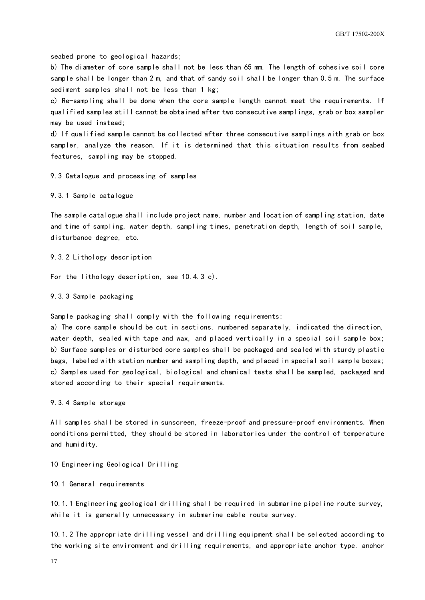GB/T 17502-200X

seabed prone to geological hazards;

b) The diameter of core sample shall not be less than 65 mm. The length of cohesive soil core sample shall be longer than 2 m, and that of sandy soil shall be longer than 0.5 m. The surface sediment samples shall not be less than 1 kg;

c) Re-sampling shall be done when the core sample length cannot meet the requirements. If qualified samples still cannot be obtained after two consecutive samplings, grab or box sampler may be used instead;

d) If qualified sample cannot be collected after three consecutive samplings with grab or box sampler, analyze the reason. If it is determined that this situation results from seabed features, sampling may be stopped.

9.3 Catalogue and processing of samples

9.3.1 Sample catalogue

The sample catalogue shall include project name, number and location of sampling station, date and time of sampling, water depth, sampling times, penetration depth, length of soil sample, disturbance degree, etc.

9.3.2 Lithology description

For the lithology description, see 10.4.3 c).

9.3.3 Sample packaging

Sample packaging shall comply with the following requirements:

a) The core sample should be cut in sections, numbered separately, indicated the direction, water depth, sealed with tape and wax, and placed vertically in a special soil sample box; b) Surface samples or disturbed core samples shall be packaged and sealed with sturdy plastic bags, labeled with station number and sampling depth, and placed in special soil sample boxes; c) Samples used for geological, biological and chemical tests shall be sampled, packaged and stored according to their special requirements.

9.3.4 Sample storage

All samples shall be stored in sunscreen, freeze-proof and pressure-proof environments. When conditions permitted, they should be stored in laboratories under the control of temperature and humidity.

<span id="page-20-0"></span>10 Engineering Geological Drilling

10.1 General requirements

10.1.1 Engineering geological drilling shall be required in submarine pipeline route survey, while it is generally unnecessary in submarine cable route survey.

10.1.2 The appropriate drilling vessel and drilling equipment shall be selected according to the working site environment and drilling requirements, and appropriate anchor type, anchor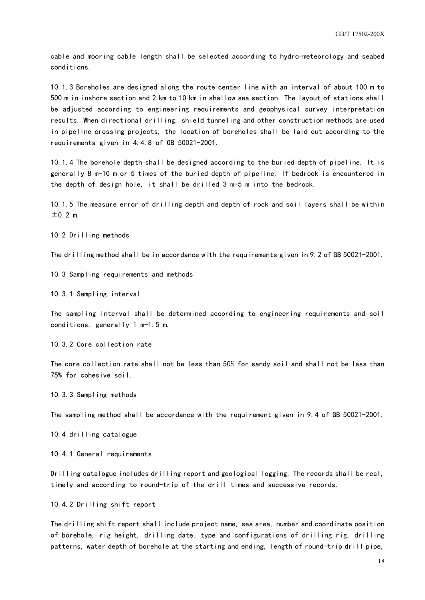cable and mooring cable length shall be selected according to hydro-meteorology and seabed conditions.

10.1.3 Boreholes are designed along the route center line with an interval of about 100 m to 500 m in inshore section and 2 km to 10 km in shallow sea section. The layout of stations shall be adjusted according to engineering requirements and geophysical survey interpretation results. When directional drilling, shield tunneling and other construction methods are used in pipeline crossing projects, the location of boreholes shall be laid out according to the requirements given in 4.4.8 of GB 50021-2001.

10.1.4 The borehole depth shall be designed according to the buried depth of pipeline. It is generally 8 m-10 m or 5 times of the buried depth of pipeline. If bedrock is encountered in the depth of design hole, it shall be drilled 3 m-5 m into the bedrock.

10.1.5 The measure error of drilling depth and depth of rock and soil layers shall be within  $±0.2$  m.

10.2 Drilling methods

The drilling method shall be in accordance with the requirements given in 9.2 of GB 50021-2001.

10.3 Sampling requirements and methods

10.3.1 Sampling interval

The sampling interval shall be determined according to engineering requirements and soil conditions, generally 1 m-1.5 m.

10.3.2 Core collection rate

The core collection rate shall not be less than 50% for sandy soil and shall not be less than 75% for cohesive soil.

10.3.3 Sampling methods

The sampling method shall be accordance with the requirement given in 9.4 of GB 50021-2001.

10.4 drilling catalogue

10.4.1 General requirements

Drilling catalogue includes drilling report and geological logging. The records shall be real, timely and according to round-trip of the drill times and successive records.

10.4.2 Drilling shift report

The drilling shift report shall include project name, sea area, number and coordinate position of borehole, rig height, drilling date, type and configurations of drilling rig, drilling patterns, water depth of borehole at the starting and ending, length of round-trip drill pipe,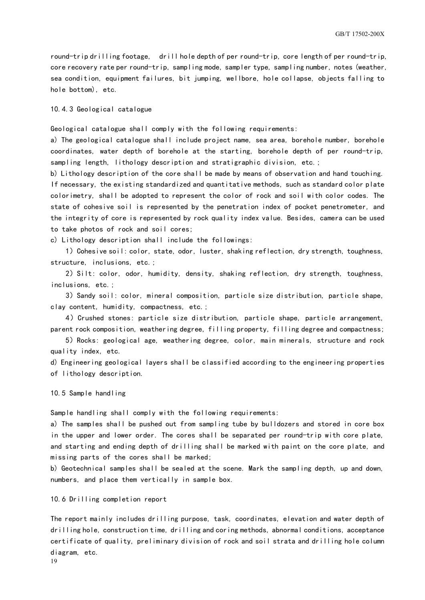round-trip drilling footage, drill hole depth of per round-trip, core length of per round-trip, core recovery rate per round-trip, sampling mode, sampler type, sampling number, notes (weather, sea condition, equipment failures, bit jumping, wellbore, hole collapse, objects falling to hole bottom), etc.

10.4.3 Geological catalogue

Geological catalogue shall comply with the following requirements:

a) The geological catalogue shall include project name, sea area, borehole number, borehole coordinates, water depth of borehole at the starting, borehole depth of per round-trip, sampling length, lithology description and stratigraphic division, etc.;

b) Lithology description of the core shall be made by means of observation and hand touching. If necessary, the existing standardized and quantitative methods, such as standard color plate colorimetry, shall be adopted to represent the color of rock and soil with color codes. The state of cohesive soil is represented by the penetration index of pocket penetrometer, and the integrity of core is represented by rock quality index value. Besides, camera can be used to take photos of rock and soil cores;

c) Lithology description shall include the followings:

1) Cohesive soil: color, state, odor, luster, shaking reflection, dry strength, toughness, structure, inclusions, etc.;

2)Silt: color, odor, humidity, density, shaking reflection, dry strength, toughness, inclusions, etc.;

3)Sandy soil: color, mineral composition, particle size distribution, particle shape, clay content, humidity, compactness, etc.;

4) Crushed stones: particle size distribution, particle shape, particle arrangement, parent rock composition, weathering degree, filling property, filling degree and compactness;

5)Rocks: geological age, weathering degree, color, main minerals, structure and rock quality index, etc.

d) Engineering geological layers shall be classified according to the engineering properties of lithology description.

#### 10.5 Sample handling

Sample handling shall comply with the following requirements:

a) The samples shall be pushed out from sampling tube by bulldozers and stored in core box in the upper and lower order. The cores shall be separated per round-trip with core plate, and starting and ending depth of drilling shall be marked with paint on the core plate, and missing parts of the cores shall be marked;

b) Geotechnical samples shall be sealed at the scene. Mark the sampling depth, up and down, numbers, and place them vertically in sample box.

10.6 Drilling completion report

The report mainly includes drilling purpose, task, coordinates, elevation and water depth of drilling hole, construction time, drilling and coring methods, abnormal conditions, acceptance certificate of quality, preliminary division of rock and soil strata and drilling hole column diagram, etc.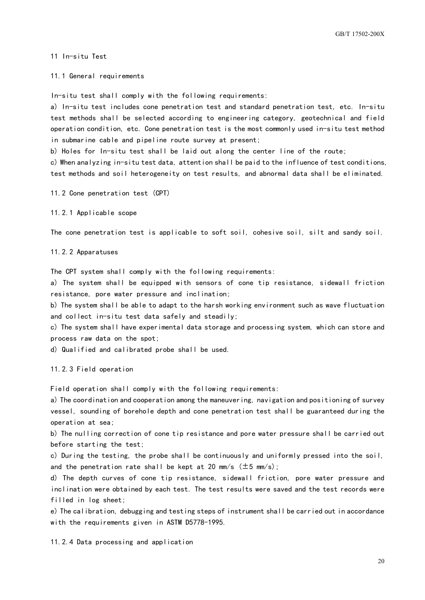<span id="page-23-0"></span>11 In-situ Test

11.1 General requirements

In-situ test shall comply with the following requirements:

a) In-situ test includes cone penetration test and standard penetration test, etc. In-situ test methods shall be selected according to engineering category, geotechnical and field operation condition, etc. Cone penetration test is the most commonly used in-situ test method in submarine cable and pipeline route survey at present;

b) Holes for In-situ test shall be laid out along the center line of the route;

c) When analyzing in-situ test data, attention shall be paid to the influence of test conditions, test methods and soil heterogeneity on test results, and abnormal data shall be eliminated.

11.2 Cone penetration test (CPT)

11.2.1 Applicable scope

The cone penetration test is applicable to soft soil, cohesive soil, silt and sandy soil.

11.2.2 Apparatuses

The CPT system shall comply with the following requirements:

a) The system shall be equipped with sensors of cone tip resistance, sidewall friction resistance, pore water pressure and inclination;

b) The system shall be able to adapt to the harsh working environment such as wave fluctuation and collect in-situ test data safely and steadily;

c) The system shall have experimental data storage and processing system, which can store and process raw data on the spot;

d) Qualified and calibrated probe shall be used.

11.2.3 Field operation

Field operation shall comply with the following requirements:

a) The coordination and cooperation among the maneuvering, navigation and positioning of survey vessel, sounding of borehole depth and cone penetration test shall be guaranteed during the operation at sea;

b) The nulling correction of cone tip resistance and pore water pressure shall be carried out before starting the test;

c) During the testing, the probe shall be continuously and uniformly pressed into the soil, and the penetration rate shall be kept at 20 mm/s  $(\pm 5$  mm/s);

d) The depth curves of cone tip resistance, sidewall friction, pore water pressure and inclination were obtained by each test. The test results were saved and the test records were filled in log sheet;

e) The calibration, debugging and testing steps of instrument shall be carried out in accordance with the requirements given in ASTM D5778-1995.

11.2.4 Data processing and application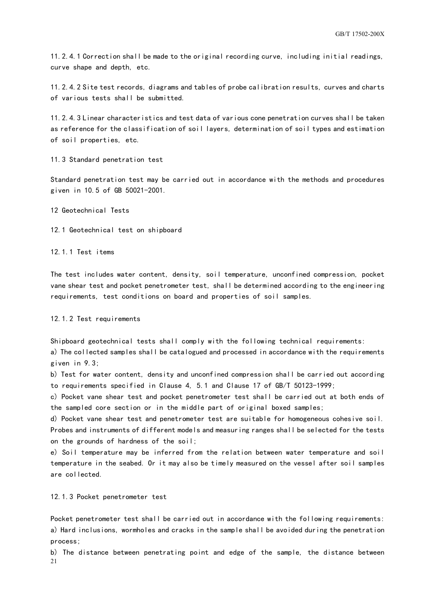11.2.4.1 Correction shall be made to the original recording curve, including initial readings, curve shape and depth, etc.

11.2.4.2 Site test records, diagrams and tables of probe calibration results, curves and charts of various tests shall be submitted.

11.2.4.3 Linear characteristics and test data of various cone penetration curves shall be taken as reference for the classification of soil layers, determination of soil types and estimation of soil properties, etc.

11.3 Standard penetration test

Standard penetration test may be carried out in accordance with the methods and procedures given in 10.5 of GB 50021-2001.

<span id="page-24-0"></span>12 Geotechnical Tests

12.1 Geotechnical test on shipboard

12.1.1 Test items

The test includes water content, density, soil temperature, unconfined compression, pocket vane shear test and pocket penetrometer test, shall be determined according to the engineering requirements, test conditions on board and properties of soil samples.

#### 12.1.2 Test requirements

Shipboard geotechnical tests shall comply with the following technical requirements:

a) The collected samples shall be catalogued and processed in accordance with the requirements given in 9.3;

b) Test for water content, density and unconfined compression shall be carried out according to requirements specified in Clause 4, 5.1 and Clause 17 of GB/T 50123-1999;

c) Pocket vane shear test and pocket penetrometer test shall be carried out at both ends of the sampled core section or in the middle part of original boxed samples;

d) Pocket vane shear test and penetrometer test are suitable for homogeneous cohesive soil. Probes and instruments of different models and measuring ranges shall be selected for the tests on the grounds of hardness of the soil;

e) Soil temperature may be inferred from the relation between water temperature and soil temperature in the seabed. Or it may also be timely measured on the vessel after soil samples are collected.

12.1.3 Pocket penetrometer test

Pocket penetrometer test shall be carried out in accordance with the following requirements: a) Hard inclusions, wormholes and cracks in the sample shall be avoided during the penetration process;

 $21$ b) The distance between penetrating point and edge of the sample, the distance between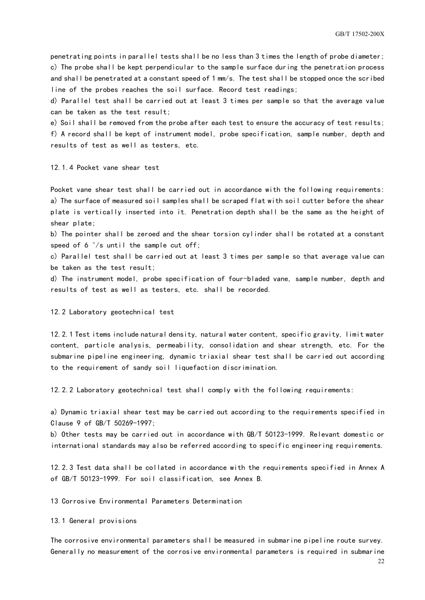penetrating points in parallel tests shall be no less than 3 times the length of probe diameter; c) The probe shall be kept perpendicular to the sample surface during the penetration process and shall be penetrated at a constant speed of 1 mm/s. The test shall be stopped once the scribed line of the probes reaches the soil surface. Record test readings;

d) Parallel test shall be carried out at least 3 times per sample so that the average value can be taken as the test result;

e) Soil shall be removed from the probe after each test to ensure the accuracy of test results; f) A record shall be kept of instrument model, probe specification, sample number, depth and results of test as well as testers, etc.

12.1.4 Pocket vane shear test

Pocket vane shear test shall be carried out in accordance with the following requirements: a) The surface of measured soil samples shall be scraped flat with soil cutter before the shear plate is vertically inserted into it. Penetration depth shall be the same as the height of shear plate;

b) The pointer shall be zeroed and the shear torsion cylinder shall be rotated at a constant speed of 6  $\degree$ /s until the sample cut off;

c) Parallel test shall be carried out at least 3 times per sample so that average value can be taken as the test result;

d) The instrument model, probe specification of four-bladed vane, sample number, depth and results of test as well as testers, etc. shall be recorded.

12.2 Laboratory geotechnical test

12.2.1 Test items include natural density, natural water content, specific gravity, limit water content, particle analysis, permeability, consolidation and shear strength, etc. For the submarine pipeline engineering, dynamic triaxial shear test shall be carried out according to the requirement of sandy soil liquefaction discrimination.

12.2.2 Laboratory geotechnical test shall comply with the following requirements:

a) Dynamic triaxial shear test may be carried out according to the requirements specified in Clause 9 of GB/T 50269-1997;

b) Other tests may be carried out in accordance with GB/T 50123-1999. Relevant domestic or international standards may also be referred according to specific engineering requirements.

12.2.3 Test data shall be collated in accordance with the requirements specified in Annex A of GB/T 50123-1999. For soil classification, see Annex B.

<span id="page-25-0"></span>13 Corrosive Environmental Parameters Determination

13.1 General provisions

The corrosive environmental parameters shall be measured in submarine pipeline route survey. Generally no measurement of the corrosive environmental parameters is required in submarine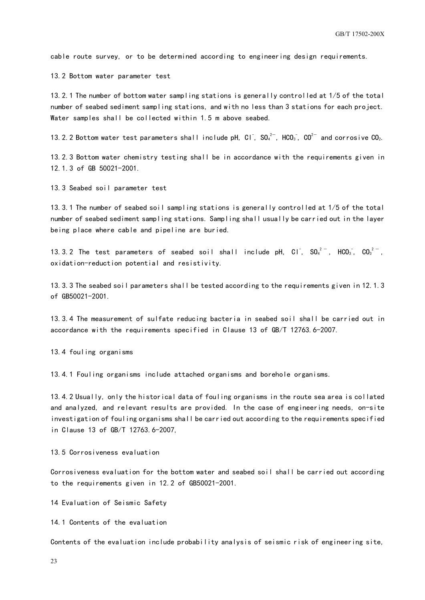cable route survey, or to be determined according to engineering design requirements.

13.2 Bottom water parameter test

13.2.1 The number of bottom water sampling stations is generally controlled at 1/5 of the total number of seabed sediment sampling stations, and with no less than 3 stations for each project. Water samples shall be collected within 1.5 m above seabed.

13.2.2 Bottom water test parameters shall include pH, Cl $\,$ , SO $_4^{2-}$ , HCO $_3^-$ , CO $^{2-}$  and corrosive CO $_2$ .

13.2.3 Bottom water chemistry testing shall be in accordance with the requirements given in 12.1.3 of GB 50021-2001.

13.3 Seabed soil parameter test

13.3.1 The number of seabed soil sampling stations is generally controlled at 1/5 of the total number of seabed sediment sampling stations. Sampling shall usually be carried out in the layer being place where cable and pipeline are buried.

13.3.2 The test parameters of seabed soil shall include pH, Cl<sup>-</sup>, SO $_4^{2-}$ , HCO $_3^-$ , CO $_3^{2-}$ ,  $\,$ oxidation-reduction potential and resistivity.

13.3.3 The seabed soil parameters shall be tested according to the requirements given in 12.1.3 of GB50021-2001.

13.3.4 The measurement of sulfate reducing bacteria in seabed soil shall be carried out in accordance with the requirements specified in Clause 13 of GB/T 12763.6-2007.

13.4 fouling organisms

13.4.1 Fouling organisms include attached organisms and borehole organisms.

13.4.2 Usually, only the historical data of fouling organisms in the route sea area is collated and analyzed, and relevant results are provided. In the case of engineering needs, on-site investigation of fouling organisms shall be carried out according to the requirements specified in Clause 13 of GB/T 12763.6-2007,

13.5 Corrosiveness evaluation

Corrosiveness evaluation for the bottom water and seabed soil shall be carried out according to the requirements given in 12.2 of GB50021-2001.

<span id="page-26-0"></span>14 Evaluation of Seismic Safety

14.1 Contents of the evaluation

Contents of the evaluation include probability analysis of seismic risk of engineering site,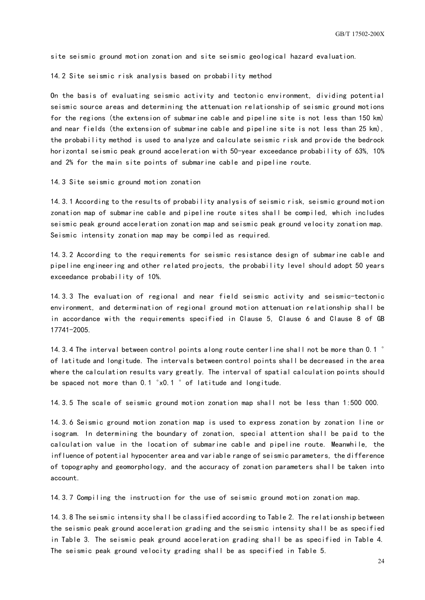site seismic ground motion zonation and site seismic geological hazard evaluation.

14.2 Site seismic risk analysis based on probability method

On the basis of evaluating seismic activity and tectonic environment, dividing potential seismic source areas and determining the attenuation relationship of seismic ground motions for the regions (the extension of submarine cable and pipeline site is not less than 150 km) and near fields (the extension of submarine cable and pipeline site is not less than 25 km), the probability method is used to analyze and calculate seismic risk and provide the bedrock horizontal seismic peak ground acceleration with 50-year exceedance probability of 63%, 10% and 2% for the main site points of submarine cable and pipeline route.

14.3 Site seismic ground motion zonation

14.3.1 According to the results of probability analysis of seismic risk, seismic ground motion zonation map of submarine cable and pipeline route sites shall be compiled, which includes seismic peak ground acceleration zonation map and seismic peak ground velocity zonation map. Seismic intensity zonation map may be compiled as required.

14.3.2 According to the requirements for seismic resistance design of submarine cable and pipeline engineering and other related projects, the probability level should adopt 50 years exceedance probability of 10%.

14.3.3 The evaluation of regional and near field seismic activity and seismic-tectonic environment, and determination of regional ground motion attenuation relationship shall be in accordance with the requirements specified in Clause 5, Clause 6 and Clause 8 of GB 17741-2005.

14.3.4 The interval between control points along route centerline shall not be more than 0.1  $\degree$ of latitude and longitude. The intervals between control points shall be decreased in the area where the calculation results vary greatly. The interval of spatial calculation points should be spaced not more than 0.1 °x0.1 ° of latitude and longitude.

14.3.5 The scale of seismic ground motion zonation map shall not be less than 1:500 000.

14.3.6 Seismic ground motion zonation map is used to express zonation by zonation line or isogram. In determining the boundary of zonation, special attention shall be paid to the calculation value in the location of submarine cable and pipeline route. Meanwhile, the influence of potential hypocenter area and variable range of seismic parameters, the difference of topography and geomorphology, and the accuracy of zonation parameters shall be taken into account.

14.3.7 Compiling the instruction for the use of seismic ground motion zonation map.

14.3.8 The seismic intensity shall be classified according to Table 2. The relationship between the seismic peak ground acceleration grading and the seismic intensity shall be as specified in Table 3. The seismic peak ground acceleration grading shall be as specified in Table 4. The seismic peak ground velocity grading shall be as specified in Table 5.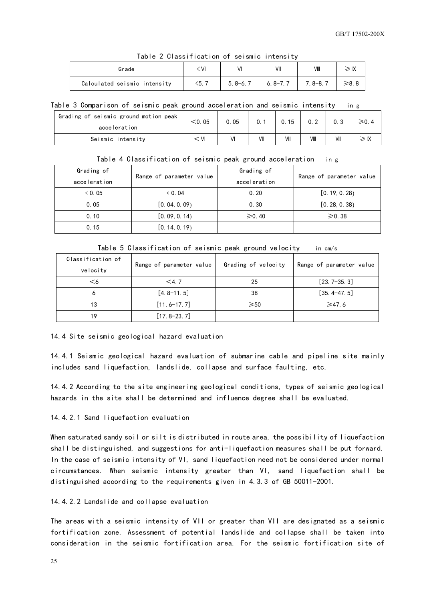| lable Z Glassification of seismic intensity |            |             |             |             |            |  |  |
|---------------------------------------------|------------|-------------|-------------|-------------|------------|--|--|
| Grade                                       | (∨)        | VI          | VII         | VIII        | ≥IX        |  |  |
| Calculated seismic intensity                | $\leq 5.7$ | $5.8 - 6.7$ | $6.8 - 7.7$ | $7.8 - 8.7$ | $\geq 8.8$ |  |  |

#### Table 2 Classification of seismic intensity

#### Table 3 Comparison of seismic peak ground acceleration and seismic intensity in g

| Grading of seismic ground motion peak<br>acceleration | $<$ 0.05 | 0.05 | 0.1 | 15  | 0.2  |      |  |
|-------------------------------------------------------|----------|------|-----|-----|------|------|--|
| Seismic intensity                                     | VI       |      | VII | VII | VIII | VIII |  |

| Grading of<br>acceleration | Range of parameter value | Grading of<br>acceleration | Range of parameter value |
|----------------------------|--------------------------|----------------------------|--------------------------|
| 0.05                       | 0.04                     | 0.20                       | [0.19, 0.28)             |
| 0.05                       | [0.04, 0.09]             | 0.30                       | [0.28, 0.38)             |
| 0.10                       | [0.09, 0.14]             | $\ge 0.40$                 | $\ge 0.38$               |
| 0.15                       | [0.14, 0.19]             |                            |                          |

|  | Table 5 Classification of seismic peak ground velocity in cm/s |  |  |  |  |  |  |
|--|----------------------------------------------------------------|--|--|--|--|--|--|
|--|----------------------------------------------------------------|--|--|--|--|--|--|

| Classification of<br>velocity | Range of parameter value | Grading of velocity | Range of parameter value |
|-------------------------------|--------------------------|---------------------|--------------------------|
| $<$ 6                         | $<$ 4.7                  | 25                  | $[23.7-35.3]$            |
| 6                             | $[4.8 - 11.5]$           | 38                  | $[35.4 - 47.5]$          |
| 13                            | $[11.6 - 17.7]$          | $\geqslant$ 50      | $\geq 47.6$              |
| 19                            | $[17.8 - 23.7]$          |                     |                          |

14.4 Site seismic geological hazard evaluation

14.4.1 Seismic geological hazard evaluation of submarine cable and pipeline site mainly includes sand liquefaction, landslide, collapse and surface faulting, etc.

14.4.2 According to the site engineering geological conditions, types of seismic geological hazards in the site shall be determined and influence degree shall be evaluated.

#### 14.4.2.1 Sand liquefaction evaluation

When saturated sandy soil or silt is distributed in route area, the possibility of liquefaction shall be distinguished, and suggestions for anti-liquefaction measures shall be put forward. In the case of seismic intensity of VI, sand liquefaction need not be considered under normal circumstances. When seismic intensity greater than VI, sand liquefaction shall be distinguished according to the requirements given in 4.3.3 of GB 50011-2001.

#### 14.4.2.2 Landslide and collapse evaluation

The areas with a seismic intensity of VII or greater than VII are designated as a seismic fortification zone. Assessment of potential landslide and collapse shall be taken into consideration in the seismic fortification area. For the seismic fortification site of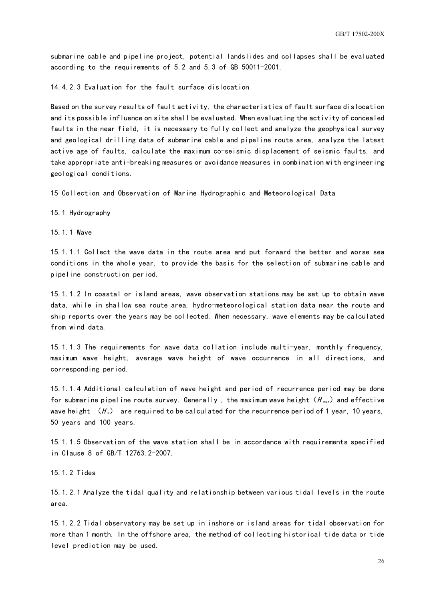submarine cable and pipeline project, potential landslides and collapses shall be evaluated according to the requirements of 5.2 and 5.3 of GB 50011-2001.

14.4.2.3 Evaluation for the fault surface dislocation

Based on the survey results of fault activity, the characteristics of fault surface dislocation and its possible influence on site shall be evaluated. When evaluating the activity of concealed faults in the near field, it is necessary to fully collect and analyze the geophysical survey and geological drilling data of submarine cable and pipeline route area, analyze the latest active age of faults, calculate the maximum co-seismic displacement of seismic faults, and take appropriate anti-breaking measures or avoidance measures in combination with engineering geological conditions.

<span id="page-29-0"></span>15 Collection and Observation of Marine Hydrographic and Meteorological Data

15.1 Hydrography

15.1.1 Wave

15.1.1.1 Collect the wave data in the route area and put forward the better and worse sea conditions in the whole year, to provide the basis for the selection of submarine cable and pipeline construction period.

15.1.1.2 In coastal or island areas, wave observation stations may be set up to obtain wave data, while in shallow sea route area, hydro-meteorological station data near the route and ship reports over the years may be collected. When necessary, wave elements may be calculated from wind data.

15.1.1.3 The requirements for wave data collation include multi-year, monthly frequency, maximum wave height, average wave height of wave occurrence in all directions, and corresponding period.

15.1.1.4 Additional calculation of wave height and period of recurrence period may be done for submarine pipeline route survey. Generally, the maximum wave height  $(H_{\text{max}})$  and effective wave height  $(H_s)$  are required to be calculated for the recurrence period of 1 year, 10 years, 50 years and 100 years.

15.1.1.5 Observation of the wave station shall be in accordance with requirements specified in Clause 8 of GB/T 12763.2-2007.

15.1.2 Tides

15.1.2.1 Analyze the tidal quality and relationship between various tidal levels in the route area.

15.1.2.2 Tidal observatory may be set up in inshore or island areas for tidal observation for more than 1 month. In the offshore area, the method of collecting historical tide data or tide level prediction may be used.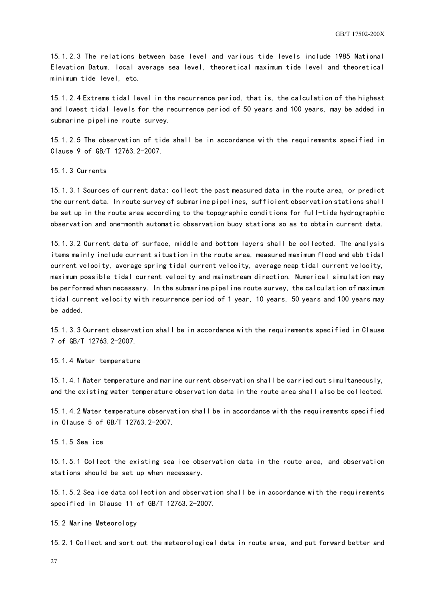15.1.2.3 The relations between base level and various tide levels include 1985 National Elevation Datum, local average sea level, theoretical maximum tide level and theoretical minimum tide level, etc.

15.1.2.4 Extreme tidal level in the recurrence period, that is, the calculation of the highest and lowest tidal levels for the recurrence period of 50 years and 100 years, may be added in submarine pipeline route survey.

15.1.2.5 The observation of tide shall be in accordance with the requirements specified in Clause 9 of GB/T 12763.2-2007.

#### 15.1.3 Currents

15.1.3.1 Sources of current data: collect the past measured data in the route area, or predict the current data. In route survey of submarine pipelines, sufficient observation stations shall be set up in the route area according to the topographic conditions for full-tide hydrographic observation and one-month automatic observation buoy stations so as to obtain current data.

15.1.3.2 Current data of surface, middle and bottom layers shall be collected. The analysis items mainly include current situation in the route area, measured maximum flood and ebb tidal current velocity, average spring tidal current velocity, average neap tidal current velocity, maximum possible tidal current velocity and mainstream direction. Numerical simulation may be performed when necessary. In the submarine pipeline route survey, the calculation of maximum tidal current velocity with recurrence period of 1 year, 10 years, 50 years and 100 years may be added.

15.1.3.3 Current observation shall be in accordance with the requirements specified in Clause 7 of GB/T 12763.2-2007.

#### 15.1.4 Water temperature

15.1.4.1 Water temperature and marine current observation shall be carried out simultaneously, and the existing water temperature observation data in the route area shall also be collected.

15.1.4.2 Water temperature observation shall be in accordance with the requirements specified in Clause 5 of GB/T 12763.2-2007.

#### 15.1.5 Sea ice

15.1.5.1 Collect the existing sea ice observation data in the route area, and observation stations should be set up when necessary.

15.1.5.2 Sea ice data collection and observation shall be in accordance with the requirements specified in Clause 11 of GB/T 12763.2-2007.

#### 15.2 Marine Meteorology

15.2.1 Collect and sort out the meteorological data in route area, and put forward better and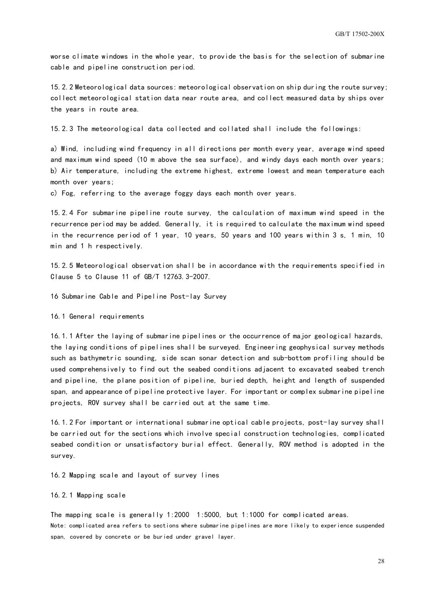worse climate windows in the whole year, to provide the basis for the selection of submarine cable and pipeline construction period.

15.2.2 Meteorological data sources: meteorological observation on ship during the route survey; collect meteorological station data near route area, and collect measured data by ships over the years in route area.

15.2.3 The meteorological data collected and collated shall include the followings:

a) Wind, including wind frequency in all directions per month every year, average wind speed and maximum wind speed (10 m above the sea surface), and windy days each month over years; b) Air temperature, including the extreme highest, extreme lowest and mean temperature each month over years;

c) Fog, referring to the average foggy days each month over years.

15.2.4 For submarine pipeline route survey, the calculation of maximum wind speed in the recurrence period may be added. Generally, it is required to calculate the maximum wind speed in the recurrence period of 1 year, 10 years, 50 years and 100 years within 3 s, 1 min, 10 min and 1 h respectively.

15.2.5 Meteorological observation shall be in accordance with the requirements specified in Clause 5 to Clause 11 of GB/T 12763.3-2007.

<span id="page-31-0"></span>16 Submarine Cable and Pipeline Post-lay Survey

16.1 General requirements

16.1.1 After the laying of submarine pipelines or the occurrence of major geological hazards, the laying conditions of pipelines shall be surveyed. Engineering geophysical survey methods such as bathymetric sounding, side scan sonar detection and sub-bottom profiling should be used comprehensively to find out the seabed conditions adjacent to excavated seabed trench and pipeline, the plane position of pipeline, buried depth, height and length of suspended span, and appearance of pipeline protective layer. For important or complex submarine pipeline projects, ROV survey shall be carried out at the same time.

16.1.2 For important or international submarine optical cable projects, post-lay survey shall be carried out for the sections which involve special construction technologies, complicated seabed condition or unsatisfactory burial effect. Generally, ROV method is adopted in the survey.

16.2 Mapping scale and layout of survey lines

#### 16.2.1 Mapping scale

The mapping scale is generally 1:2000 1:5000, but 1:1000 for complicated areas. Note: complicated area refers to sections where submarine pipelines are more likely to experience suspended span, covered by concrete or be buried under gravel layer.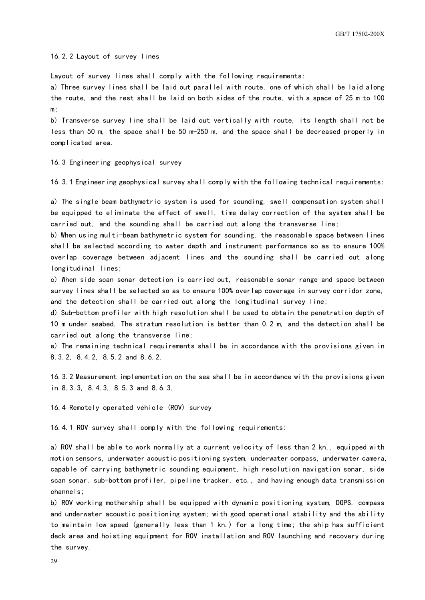16.2.2 Layout of survey lines

Layout of survey lines shall comply with the following requirements:

a) Three survey lines shall be laid out parallel with route, one of which shall be laid along the route, and the rest shall be laid on both sides of the route, with a space of 25 m to 100 m;

b) Transverse survey line shall be laid out vertically with route, its length shall not be less than 50 m, the space shall be 50 m-250 m, and the space shall be decreased properly in complicated area.

#### 16.3 Engineering geophysical survey

16.3.1 Engineering geophysical survey shall comply with the following technical requirements:

a) The single beam bathymetric system is used for sounding, swell compensation system shall be equipped to eliminate the effect of swell, time delay correction of the system shall be carried out, and the sounding shall be carried out along the transverse line;

b) When using multi-beam bathymetric system for sounding, the reasonable space between lines shall be selected according to water depth and instrument performance so as to ensure 100% overlap coverage between adjacent lines and the sounding shall be carried out along longitudinal lines;

c) When side scan sonar detection is carried out, reasonable sonar range and space between survey lines shall be selected so as to ensure 100% overlap coverage in survey corridor zone, and the detection shall be carried out along the longitudinal survey line;

d) Sub-bottom profiler with high resolution shall be used to obtain the penetration depth of 10 m under seabed. The stratum resolution is better than 0.2 m, and the detection shall be carried out along the transverse line;

e) The remaining technical requirements shall be in accordance with the provisions given in 8.3.2, 8.4.2, 8.5.2 and 8.6.2.

16.3.2 Measurement implementation on the sea shall be in accordance with the provisions given in 8.3.3, 8.4.3, 8.5.3 and 8.6.3.

16.4 Remotely operated vehicle (ROV) survey

16.4.1 ROV survey shall comply with the following requirements:

a) ROV shall be able to work normally at a current velocity of less than 2 kn., equipped with motion sensors, underwater acoustic positioning system, underwater compass, underwater camera, capable of carrying bathymetric sounding equipment, high resolution navigation sonar, side scan sonar, sub-bottom profiler, pipeline tracker, etc., and having enough data transmission channels;

b) ROV working mothership shall be equipped with dynamic positioning system, DGPS, compass and underwater acoustic positioning system; with good operational stability and the ability to maintain low speed (generally less than 1 kn.) for a long time; the ship has sufficient deck area and hoisting equipment for ROV installation and ROV launching and recovery during the survey.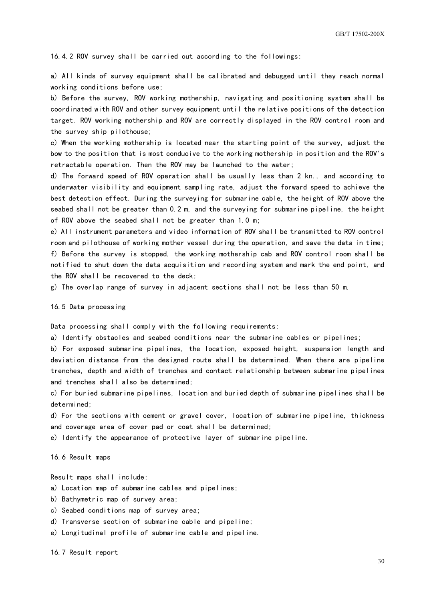16.4.2 ROV survey shall be carried out according to the followings:

a) All kinds of survey equipment shall be calibrated and debugged until they reach normal working conditions before use;

b) Before the survey, ROV working mothership, navigating and positioning system shall be coordinated with ROV and other survey equipment until the relative positions of the detection target, ROV working mothership and ROV are correctly displayed in the ROV control room and the survey ship pilothouse;

c) When the working mothership is located near the starting point of the survey, adjust the bow to the position that is most conducive to the working mothership in position and the ROV's retractable operation. Then the ROV may be launched to the water;

d) The forward speed of ROV operation shall be usually less than 2 kn., and according to underwater visibility and equipment sampling rate, adjust the forward speed to achieve the best detection effect. During the surveying for submarine cable, the height of ROV above the seabed shall not be greater than 0.2 m, and the surveying for submarine pipeline, the height of ROV above the seabed shall not be greater than 1.0 m;

e) All instrument parameters and video information of ROV shall be transmitted to ROV control room and pilothouse of working mother vessel during the operation, and save the data in time; f) Before the survey is stopped, the working mothership cab and ROV control room shall be notified to shut down the data acquisition and recording system and mark the end point, and the ROV shall be recovered to the deck;

g) The overlap range of survey in adjacent sections shall not be less than 50 m.

#### 16.5 Data processing

Data processing shall comply with the following requirements:

a) Identify obstacles and seabed conditions near the submarine cables or pipelines;

b) For exposed submarine pipelines, the location, exposed height, suspension length and deviation distance from the designed route shall be determined. When there are pipeline trenches, depth and width of trenches and contact relationship between submarine pipelines and trenches shall also be determined;

c) For buried submarine pipelines, location and buried depth of submarine pipelines shall be determined;

d) For the sections with cement or gravel cover, location of submarine pipeline, thickness and coverage area of cover pad or coat shall be determined;

e) Identify the appearance of protective layer of submarine pipeline.

16.6 Result maps

Result maps shall include:

- a) Location map of submarine cables and pipelines;
- b) Bathymetric map of survey area;
- c) Seabed conditions map of survey area;
- d) Transverse section of submarine cable and pipeline;
- e) Longitudinal profile of submarine cable and pipeline.

16.7 Result report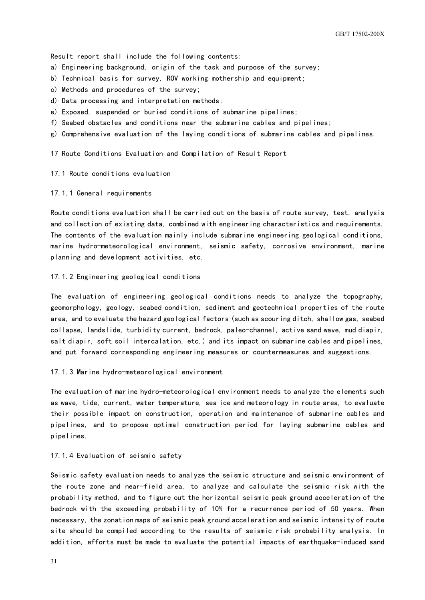Result report shall include the following contents:

- a) Engineering background, origin of the task and purpose of the survey;
- b) Technical basis for survey, ROV working mothership and equipment;
- c) Methods and procedures of the survey;
- d) Data processing and interpretation methods;
- e) Exposed, suspended or buried conditions of submarine pipelines;
- f) Seabed obstacles and conditions near the submarine cables and pipelines;
- <span id="page-34-0"></span>g) Comprehensive evaluation of the laying conditions of submarine cables and pipelines.

17 Route Conditions Evaluation and Compilation of Result Report

17.1 Route conditions evaluation

17.1.1 General requirements

Route conditions evaluation shall be carried out on the basis of route survey, test, analysis and collection of existing data, combined with engineering characteristics and requirements. The contents of the evaluation mainly include submarine engineering geological conditions, marine hydro-meteorological environment, seismic safety, corrosive environment, marine planning and development activities, etc.

#### 17.1.2 Engineering geological conditions

The evaluation of engineering geological conditions needs to analyze the topography, geomorphology, geology, seabed condition, sediment and geotechnical properties of the route area, and to evaluate the hazard geological factors (such as scouring ditch, shallow gas, seabed collapse, landslide, turbidity current, bedrock, paleo-channel, active sand wave, mud diapir, salt diapir, soft soil intercalation, etc.) and its impact on submarine cables and pipelines, and put forward corresponding engineering measures or countermeasures and suggestions.

#### 17.1.3 Marine hydro-meteorological environment

The evaluation of marine hydro-meteorological environment needs to analyze the elements such as wave, tide, current, water temperature, sea ice and meteorology in route area, to evaluate their possible impact on construction, operation and maintenance of submarine cables and pipelines, and to propose optimal construction period for laying submarine cables and pipelines.

#### 17.1.4 Evaluation of seismic safety

Seismic safety evaluation needs to analyze the seismic structure and seismic environment of the route zone and near-field area, to analyze and calculate the seismic risk with the probability method, and to figure out the horizontal seismic peak ground acceleration of the bedrock with the exceeding probability of 10% for a recurrence period of 50 years. When necessary, the zonation maps of seismic peak ground acceleration and seismic intensity of route site should be compiled according to the results of seismic risk probability analysis. In addition, efforts must be made to evaluate the potential impacts of earthquake-induced sand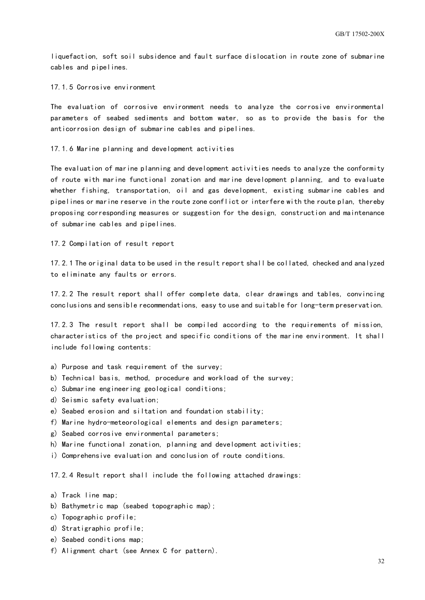liquefaction, soft soil subsidence and fault surface dislocation in route zone of submarine cables and pipelines.

17.1.5 Corrosive environment

The evaluation of corrosive environment needs to analyze the corrosive environmental parameters of seabed sediments and bottom water, so as to provide the basis for the anticorrosion design of submarine cables and pipelines.

17.1.6 Marine planning and development activities

The evaluation of marine planning and development activities needs to analyze the conformity of route with marine functional zonation and marine development planning, and to evaluate whether fishing, transportation, oil and gas development, existing submarine cables and pipelines or marine reserve in the route zone conflict or interfere with the route plan, thereby proposing corresponding measures or suggestion for the design, construction and maintenance of submarine cables and pipelines.

17.2 Compilation of result report

17.2.1 The original data to be used in the result report shall be collated, checked and analyzed to eliminate any faults or errors.

17.2.2 The result report shall offer complete data, clear drawings and tables, convincing conclusions and sensible recommendations, easy to use and suitable for long-term preservation.

17.2.3 The result report shall be compiled according to the requirements of mission, characteristics of the project and specific conditions of the marine environment. It shall include following contents:

- a) Purpose and task requirement of the survey;
- b) Technical basis, method, procedure and workload of the survey;
- c) Submarine engineering geological conditions;
- d) Seismic safety evaluation;
- e) Seabed erosion and siltation and foundation stability;
- f) Marine hydro-meteorological elements and design parameters;
- g) Seabed corrosive environmental parameters;
- h) Marine functional zonation, planning and development activities;
- i) Comprehensive evaluation and conclusion of route conditions.

17.2.4 Result report shall include the following attached drawings:

- a) Track line map;
- b) Bathymetric map (seabed topographic map);
- c) Topographic profile;
- d) Stratigraphic profile;
- e) Seabed conditions map;
- f) Alignment chart (see Annex C for pattern).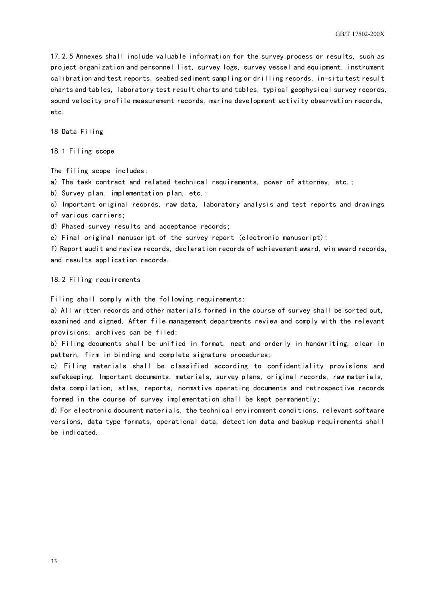17.2.5 Annexes shall include valuable information for the survey process or results, such as project organization and personnel list, survey logs, survey vessel and equipment, instrument calibration and test reports, seabed sediment sampling or drilling records, in-situ test result charts and tables, laboratory test result charts and tables, typical geophysical survey records, sound velocity profile measurement records, marine development activity observation records, etc.

<span id="page-36-0"></span>18 Data Filing

18.1 Filing scope

The filing scope includes:

a) The task contract and related technical requirements, power of attorney, etc.;

b) Survey plan, implementation plan, etc.;

c) Important original records, raw data, laboratory analysis and test reports and drawings of various carriers;

d) Phased survey results and acceptance records;

e) Final original manuscript of the survey report (electronic manuscript);

f) Report audit and review records, declaration records of achievement award, win award records, and results application records.

18.2 Filing requirements

Filing shall comply with the following requirements:

a) All written records and other materials formed in the course of survey shall be sorted out, examined and signed, After file management departments review and comply with the relevant provisions, archives can be filed;

b) Filing documents shall be unified in format, neat and orderly in handwriting, clear in pattern, firm in binding and complete signature procedures;

c) Filing materials shall be classified according to confidentiality provisions and safekeeping. Important documents, materials, survey plans, original records, raw materials, data compilation, atlas, reports, normative operating documents and retrospective records formed in the course of survey implementation shall be kept permanently;

d) For electronic document materials, the technical environment conditions, relevant software versions, data type formats, operational data, detection data and backup requirements shall be indicated.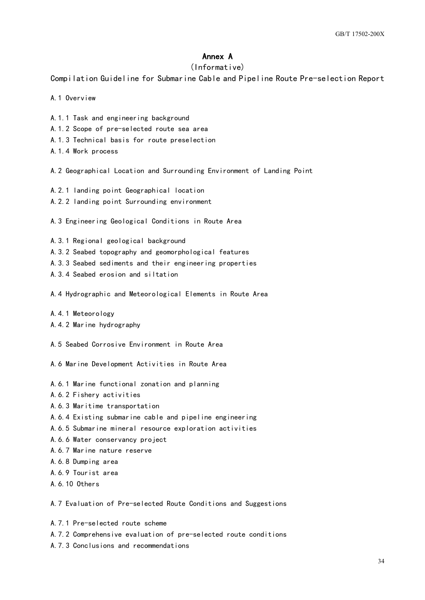#### Annex A

#### (Informative)

<span id="page-37-0"></span>Compilation Guideline for Submarine Cable and Pipeline Route Pre-selection Report

- A.1 Overview
- A.1.1 Task and engineering background
- A.1.2 Scope of pre-selected route sea area
- A.1.3 Technical basis for route preselection
- A.1.4 Work process
- A.2 Geographical Location and Surrounding Environment of Landing Point
- A.2.1 landing point Geographical location
- A.2.2 landing point Surrounding environment
- A.3 Engineering Geological Conditions in Route Area
- A.3.1 Regional geological background
- A.3.2 Seabed topography and geomorphological features
- A.3.3 Seabed sediments and their engineering properties
- A.3.4 Seabed erosion and siltation
- A.4 Hydrographic and Meteorological Elements in Route Area
- A.4.1 Meteorology
- A.4.2 Marine hydrography
- A.5 Seabed Corrosive Environment in Route Area
- A.6 Marine Development Activities in Route Area
- A.6.1 Marine functional zonation and planning
- A.6.2 Fishery activities
- A.6.3 Maritime transportation
- A.6.4 Existing submarine cable and pipeline engineering
- A.6.5 Submarine mineral resource exploration activities
- A.6.6 Water conservancy project
- A.6.7 Marine nature reserve
- A.6.8 Dumping area
- A.6.9 Tourist area
- A.6.10 Others

A.7 Evaluation of Pre-selected Route Conditions and Suggestions

- A.7.1 Pre-selected route scheme
- A.7.2 Comprehensive evaluation of pre-selected route conditions
- A.7.3 Conclusions and recommendations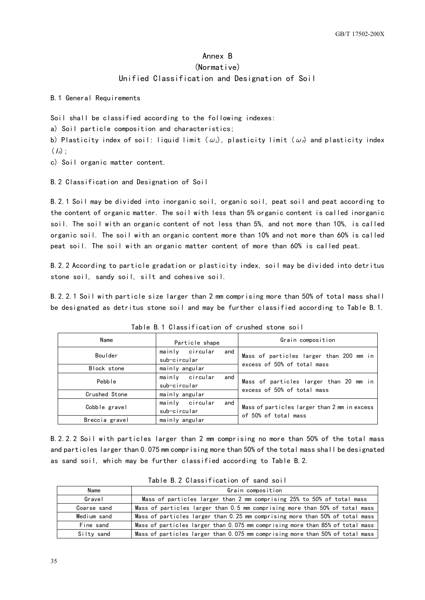## Annex B (Normative) Unified Classification and Designation of Soil

<span id="page-38-0"></span>B.1 General Requirements

Soil shall be classified according to the following indexes:

a) Soil particle composition and characteristics;

b) Plasticity index of soil: liquid limit ( $\omega_L$ ), plasticity limit ( $\omega_P$ ) and plasticity index  $(I_P)$ ;

c) Soil organic matter content.

B.2 Classification and Designation of Soil

B.2.1 Soil may be divided into inorganic soil, organic soil, peat soil and peat according to the content of organic matter. The soil with less than 5% organic content is called inorganic soil. The soil with an organic content of not less than 5%, and not more than 10%, is called organic soil. The soil with an organic content more than 10% and not more than 60% is called peat soil. The soil with an organic matter content of more than 60% is called peat.

B.2.2 According to particle gradation or plasticity index, soil may be divided into detritus stone soil, sandy soil, silt and cohesive soil.

B.2.2.1 Soil with particle size larger than 2 mm comprising more than 50% of total mass shall be designated as detritus stone soil and may be further classified according to Table B.1.

| Name           | Particle shape                         | Grain composition                                                      |  |  |
|----------------|----------------------------------------|------------------------------------------------------------------------|--|--|
| Boulder        | mainly circular<br>and<br>sub-circular | Mass of particles larger than 200 mm in<br>excess of 50% of total mass |  |  |
| Block stone    | mainly angular                         |                                                                        |  |  |
| Pebble         | mainly circular<br>and<br>sub-circular | Mass of particles larger than 20 mm in                                 |  |  |
| Crushed Stone  | mainly angular                         | excess of 50% of total mass                                            |  |  |
| Cobble gravel  | mainly circular<br>and<br>sub-circular | Mass of particles larger than 2 mm in excess                           |  |  |
| Breccia gravel | mainly angular                         | of 50% of total mass                                                   |  |  |

Table B.1 Classification of crushed stone soil

B.2.2.2 Soil with particles larger than 2 mm comprising no more than 50% of the total mass and particles larger than 0.075 mm comprising more than 50% of the total mass shall be designated as sand soil, which may be further classified according to Table B.2.

| Name        | Grain composition                                                             |
|-------------|-------------------------------------------------------------------------------|
| Gravel      | Mass of particles larger than 2 mm comprising 25% to 50% of total mass        |
| Coarse sand | Mass of particles larger than 0.5 mm comprising more than 50% of total mass   |
| Medium sand | Mass of particles larger than 0.25 mm comprising more than 50% of total mass  |
| Fine sand   | Mass of particles larger than 0.075 mm comprising more than 85% of total mass |
| Silty sand  | Mass of particles larger than 0.075 mm comprising more than 50% of total mass |

Table B.2 Classification of sand soil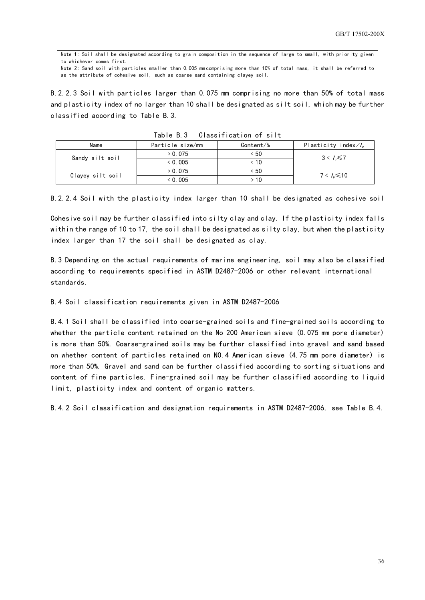Note 1: Soil shall be designated according to grain composition in the sequence of large to small, with priority given to whichever comes first. Note 2: Sand soil with particles smaller than 0.005 mm comprising more than 10% of total mass, it shall be referred to as the attribute of cohesive soil, such as coarse sand containing clayey soil.

B.2.2.3 Soil with particles larger than 0.075 mm comprising no more than 50% of total mass and plasticity index of no larger than 10 shall be designated as silt soil, which may be further classified according to Table B.3.

| Name             | Particle size/mm<br>Content/% |      | Plasticity index $\mathcal{U}_e$ |
|------------------|-------------------------------|------|----------------------------------|
|                  | > 0.075                       | < 50 |                                  |
| Sandy silt soil  | $<$ 0.005                     | ະ 10 | $3 < \lambda \le 7$              |
| Clayey silt soil | > 0.075                       | < 50 | $7 < \lambda \le 10$             |
|                  | $<$ 0.005                     | > 10 |                                  |

Table B.3 Classification of silt

B.2.2.4 Soil with the plasticity index larger than 10 shall be designated as cohesive soil

Cohesive soil may be further classified into silty clay and clay. If the plasticity index falls within the range of 10 to 17, the soil shall be designated as silty clay, but when the plasticity index larger than 17 the soil shall be designated as clay.

B.3 Depending on the actual requirements of marine engineering, soil may also be classified according to requirements specified in ASTM D2487-2006 or other relevant international standards.

#### B.4 Soil classification requirements given in ASTM D2487-2006

B.4.1 Soil shall be classified into coarse-grained soils and fine-grained soils according to whether the particle content retained on the No 200 American sieve (0.075 mm pore diameter) is more than 50%. Coarse-grained soils may be further classified into gravel and sand based on whether content of particles retained on NO.4 American sieve (4.75 mm pore diameter) is more than 50%. Gravel and sand can be further classified according to sorting situations and content of fine particles. Fine-grained soil may be further classified according to liquid limit, plasticity index and content of organic matters.

B.4.2 Soil classification and designation requirements in ASTM D2487-2006, see Table B.4.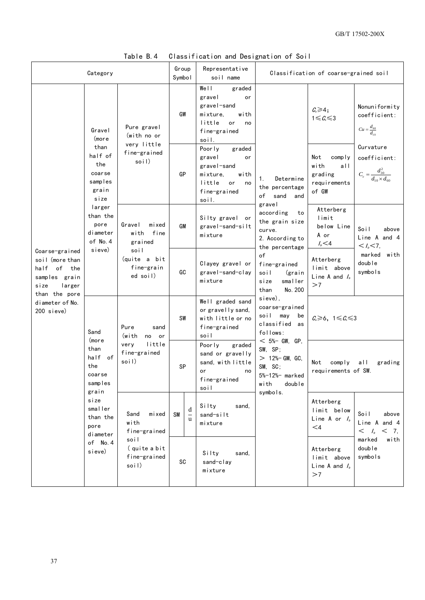|                                                                                                                                       | Category                                                                                                                                                                                                                                                                                                                 |                                                                                              | Group<br>Symbol   |                                                                                               | Representative<br>soil name                                                                                        |                                                                                                                                                                                                                                    | Classification of coarse-grained soil                            |                                                                            |
|---------------------------------------------------------------------------------------------------------------------------------------|--------------------------------------------------------------------------------------------------------------------------------------------------------------------------------------------------------------------------------------------------------------------------------------------------------------------------|----------------------------------------------------------------------------------------------|-------------------|-----------------------------------------------------------------------------------------------|--------------------------------------------------------------------------------------------------------------------|------------------------------------------------------------------------------------------------------------------------------------------------------------------------------------------------------------------------------------|------------------------------------------------------------------|----------------------------------------------------------------------------|
| Coarse-grained<br>soil (more than<br>half of the<br>samples grain<br>size<br>larger<br>than the pore<br>diameter of No.<br>200 sieve) | Pure gravel<br>Gravel<br>(with no or<br>(more                                                                                                                                                                                                                                                                            |                                                                                              | GW                |                                                                                               | Well<br>graded<br>gravel<br>or<br>gravel-sand<br>mixture,<br>with<br>little<br>or<br>no<br>fine-grained<br>soil.   |                                                                                                                                                                                                                                    | $C_{u} \geq 4$ ;<br>$1 \leqslant C_{c} \leqslant 3$              | Nonuniformity<br>coefficient:<br>$Cu = \frac{d_{60}}{d_{10}}$              |
|                                                                                                                                       | than<br>half of<br>the<br>coarse<br>samples<br>grain<br>size                                                                                                                                                                                                                                                             | very little<br>fine-grained<br>soil)                                                         | GP                |                                                                                               | Poorly<br>graded<br>gravel<br>or<br>gravel-sand<br>with<br>mixture,<br>little<br>or<br>no<br>fine-grained<br>soil. | Determine<br>1.<br>the percentage<br>of<br>sand<br>and<br>gravel<br>according<br>to<br>the grain size<br>curve.<br>2. According to<br>the percentage<br>of<br>fine-grained<br>soil<br>(grain<br>smaller<br>size<br>No. 200<br>than | Not<br>comply<br>with<br>all<br>grading<br>requirements<br>of GW | Curvature<br>coefficient:<br>$C_c = \frac{d_{30}^2}{d_{10} \times d_{60}}$ |
|                                                                                                                                       | larger<br>than the<br>pore<br>diameter<br>of No. 4<br>sieve)                                                                                                                                                                                                                                                             | mixed<br>Gravel<br>with<br>fine<br>grained<br>soil<br>(quite a bit<br>fine-grain<br>ed soil) | GM                |                                                                                               | Silty gravel or<br>gravel-sand-silt<br>mixture                                                                     |                                                                                                                                                                                                                                    | Atterberg<br>limit<br>below Line<br>A or<br>$I_{\rm p}$ $\leq$ 4 | Soil<br>above<br>Line A and 4<br>$< I_{\rm p} < 7$ ,                       |
|                                                                                                                                       |                                                                                                                                                                                                                                                                                                                          |                                                                                              | GC                |                                                                                               | Clayey gravel or<br>gravel-sand-clay<br>mixture                                                                    |                                                                                                                                                                                                                                    | Atterberg<br>limit above<br>Line A and $I_{\circ}$<br>>7         | marked with<br>double<br>symbols                                           |
|                                                                                                                                       | Pure<br>sand<br>Sand<br>(with<br>no or<br>(more<br>little<br>very<br>than<br>fine-grained<br>half<br>of<br>soil)<br>the<br>coarse<br>samples<br>grain<br>size<br>smaller<br>Sand<br>mixed<br>than the<br>with<br>pore<br>fine-grained<br>diameter<br>soil<br>of No. 4<br>(quite a bit<br>sieve)<br>fine-grained<br>soil) |                                                                                              | <b>SW</b>         |                                                                                               | Well graded sand<br>or gravelly sand,<br>with little or no<br>fine-grained<br>soil                                 | sieve),<br>coarse-grained<br>soil<br>may<br>be<br>classified<br>as<br>follows:<br>$< 5%$ GW, GP,                                                                                                                                   | $C_1 \geq 6$ , $1 \leq C_2 \leq 3$                               |                                                                            |
|                                                                                                                                       |                                                                                                                                                                                                                                                                                                                          | SP                                                                                           |                   | Poorly<br>graded<br>sand or gravelly<br>sand, with little<br>or<br>no<br>fine-grained<br>soil | SW, SP;<br>$> 12%$ GM, GC,<br>SM, SC;<br>5%-12%- marked<br>with<br>doub le                                         | Not<br>comply<br>requirements of SW.                                                                                                                                                                                               | all<br>grading                                                   |                                                                            |
|                                                                                                                                       |                                                                                                                                                                                                                                                                                                                          | <b>SM</b>                                                                                    | d<br>$\mathbf{u}$ | Silty<br>sand,<br>sand-silt<br>mixture                                                        | symbols.                                                                                                           | Atterberg<br>limit below<br>Line A or $I_p$<br>$\leq 4$                                                                                                                                                                            | Soil<br>above<br>Line A and 4<br>$< I_{\rm p} < 7$ ,             |                                                                            |
|                                                                                                                                       |                                                                                                                                                                                                                                                                                                                          |                                                                                              |                   | SC                                                                                            | Silty<br>sand,<br>sand-clay<br>mixture                                                                             |                                                                                                                                                                                                                                    | Atterberg<br>limit above<br>Line A and $I_{\rm p}$<br>>7         | marked<br>with<br>double<br>symbols                                        |

Table B.4 Classification and Designation of Soil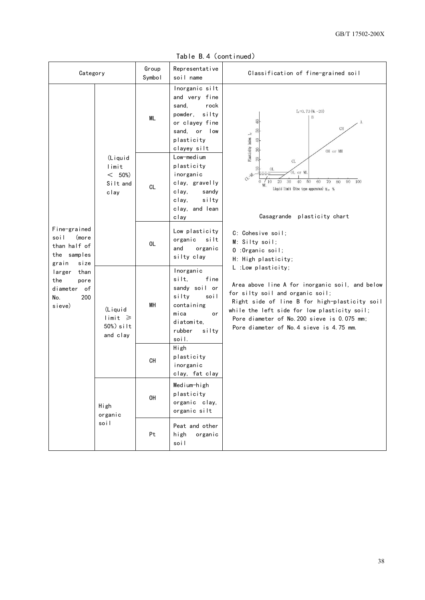|  | Table B.4 (continued) |
|--|-----------------------|
|--|-----------------------|

| Category                                                                                                                                              |                                                                     | Group<br>Symbol | Representative<br>soil name                                                                                                         | Classification of fine-grained soil                                                                                                                                                                                                                                                                                                                                                                                                                                                                                                                                                                                                                                                                                                                                |
|-------------------------------------------------------------------------------------------------------------------------------------------------------|---------------------------------------------------------------------|-----------------|-------------------------------------------------------------------------------------------------------------------------------------|--------------------------------------------------------------------------------------------------------------------------------------------------------------------------------------------------------------------------------------------------------------------------------------------------------------------------------------------------------------------------------------------------------------------------------------------------------------------------------------------------------------------------------------------------------------------------------------------------------------------------------------------------------------------------------------------------------------------------------------------------------------------|
| Fine-grained<br>soil<br>(more<br>than half of<br>the samples<br>grain<br>size<br>larger<br>than<br>the<br>pore<br>diameter of<br>200<br>No.<br>sieve) | (Liquid<br>limit<br>< 50%<br>Silt and<br>clay                       | ML              | Inorganic silt<br>and very fine<br>rock<br>sand,<br>silty<br>powder,<br>or clayey fine<br>sand, or low<br>plasticity<br>clayey silt | $I_r = 0.73$ (Wi $-20$ )<br>B<br>60<br>A<br>$\rm CH$<br>50<br>Plasticity index $I_r$<br>$\overline{9}$<br>OH or MH<br>20<br>$\ensuremath{\text{CL}}\xspace$<br>OL<br>L or ML<br>CL-AD<br>$20\,$<br>30<br>50<br>/10<br>40<br>60<br>70<br>90<br>100<br>80<br>$\mathbf{0}$<br>ML.<br>Liquid limit (Disc type apparatus) W <sub>1</sub> , %<br>Casagrande plasticity chart<br>C: Cohesive soil;<br>M: Silty soil;<br>0 : Organic soil;<br>H: High plasticity;<br>L :Low plasticity;<br>Area above line A for inorganic soil, and below<br>for silty soil and organic soil;<br>Right side of line B for high-plasticity soil<br>while the left side for low plasticity soil;<br>Pore diameter of No. 200 sieve is 0.075 mm;<br>Pore diameter of No. 4 sieve is 4.75 mm. |
|                                                                                                                                                       |                                                                     | <b>CL</b>       | Low-medium<br>plasticity<br>inorganic<br>clay, gravelly<br>clay,<br>sandy<br>silty<br>clay,<br>clay, and lean<br>clay               |                                                                                                                                                                                                                                                                                                                                                                                                                                                                                                                                                                                                                                                                                                                                                                    |
|                                                                                                                                                       |                                                                     | OL              | Low plasticity<br>organic<br>silt<br>and<br>organic<br>silty clay                                                                   |                                                                                                                                                                                                                                                                                                                                                                                                                                                                                                                                                                                                                                                                                                                                                                    |
|                                                                                                                                                       | (Liquid<br>$\lim_{t \to \infty} t \geq$<br>$50\%)$ silt<br>and clay | MH              | Inorganic<br>silt.<br>fine<br>sandy soil or<br>silty<br>soil<br>containing<br>mica<br>or<br>diatomite.<br>rubber<br>silty<br>soil.  |                                                                                                                                                                                                                                                                                                                                                                                                                                                                                                                                                                                                                                                                                                                                                                    |
|                                                                                                                                                       |                                                                     | CН              | High<br>plasticity<br>inorganic<br>clay, fat clay                                                                                   |                                                                                                                                                                                                                                                                                                                                                                                                                                                                                                                                                                                                                                                                                                                                                                    |
|                                                                                                                                                       | High<br>organic<br>soil                                             | OH              | Medium-high<br>plasticity<br>organic clay,<br>organic silt                                                                          |                                                                                                                                                                                                                                                                                                                                                                                                                                                                                                                                                                                                                                                                                                                                                                    |
|                                                                                                                                                       |                                                                     | Pt              | Peat and other<br>high<br>organic<br>soil                                                                                           |                                                                                                                                                                                                                                                                                                                                                                                                                                                                                                                                                                                                                                                                                                                                                                    |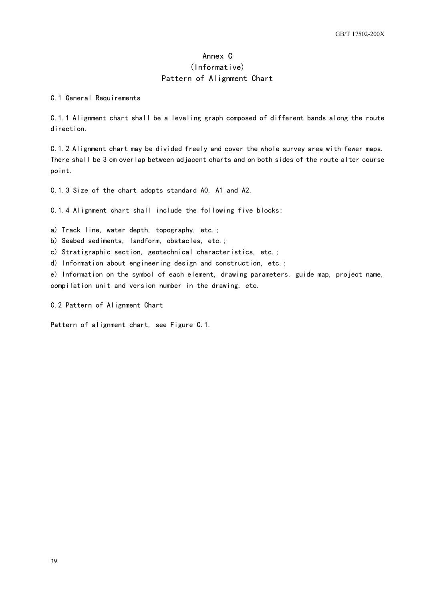## Annex C (Informative) Pattern of Alignment Chart

<span id="page-42-0"></span>C.1 General Requirements

C.1.1 Alignment chart shall be a leveling graph composed of different bands along the route direction.

C.1.2 Alignment chart may be divided freely and cover the whole survey area with fewer maps. There shall be 3 cm overlap between adjacent charts and on both sides of the route alter course point.

C.1.3 Size of the chart adopts standard A0, A1 and A2.

C.1.4 Alignment chart shall include the following five blocks:

a) Track line, water depth, topography, etc.;

b) Seabed sediments, landform, obstacles, etc.;

c) Stratigraphic section, geotechnical characteristics, etc.;

d) Information about engineering design and construction, etc.;

e) Information on the symbol of each element, drawing parameters, guide map, project name, compilation unit and version number in the drawing, etc.

C.2 Pattern of Alignment Chart

Pattern of alignment chart, see Figure C.1.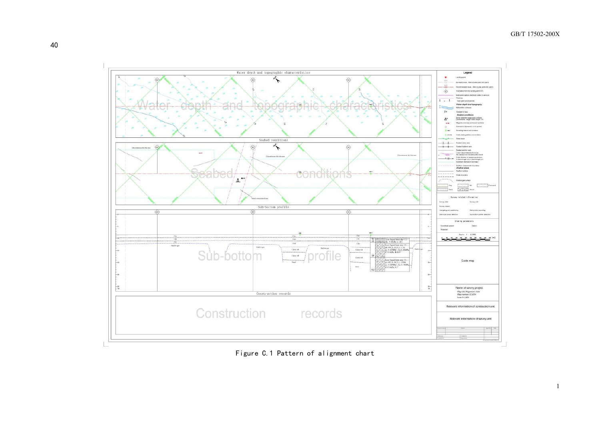

Figure C.1 Pattern of alignment chart